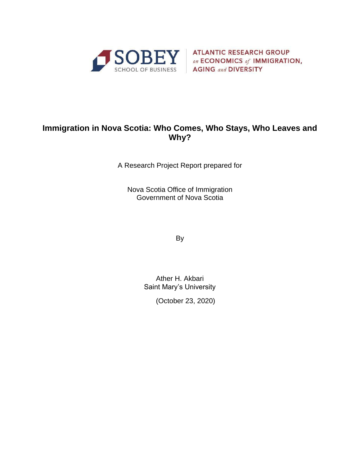

SOBEY ATLANTIC RESEARCH GROUP **AGING and DIVERSITY** 

# **Immigration in Nova Scotia: Who Comes, Who Stays, Who Leaves and Why?**

A Research Project Report prepared for

Nova Scotia Office of Immigration Government of Nova Scotia

By

Ather H. Akbari Saint Mary's University

(October 23, 2020)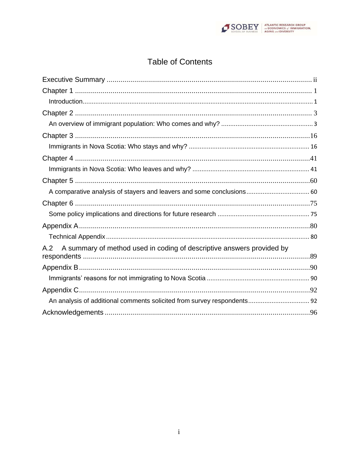

# **Table of Contents**

| A comparative analysis of stayers and leavers and some conclusions 60        |  |
|------------------------------------------------------------------------------|--|
|                                                                              |  |
|                                                                              |  |
|                                                                              |  |
|                                                                              |  |
| A summary of method used in coding of descriptive answers provided by<br>A.2 |  |
|                                                                              |  |
|                                                                              |  |
|                                                                              |  |
|                                                                              |  |
|                                                                              |  |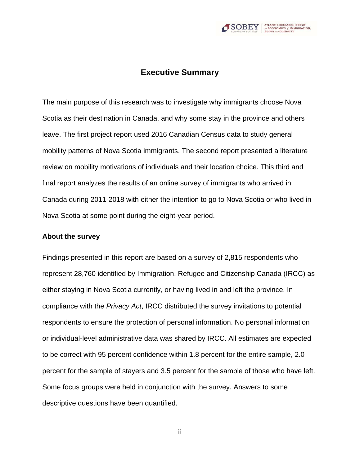

# **Executive Summary**

<span id="page-2-0"></span>The main purpose of this research was to investigate why immigrants choose Nova Scotia as their destination in Canada, and why some stay in the province and others leave. The first project report used 2016 Canadian Census data to study general mobility patterns of Nova Scotia immigrants. The second report presented a literature review on mobility motivations of individuals and their location choice. This third and final report analyzes the results of an online survey of immigrants who arrived in Canada during 2011-2018 with either the intention to go to Nova Scotia or who lived in Nova Scotia at some point during the eight-year period.

#### **About the survey**

Findings presented in this report are based on a survey of 2,815 respondents who represent 28,760 identified by Immigration, Refugee and Citizenship Canada (IRCC) as either staying in Nova Scotia currently, or having lived in and left the province. In compliance with the *Privacy Act*, IRCC distributed the survey invitations to potential respondents to ensure the protection of personal information. No personal information or individual-level administrative data was shared by IRCC. All estimates are expected to be correct with 95 percent confidence within 1.8 percent for the entire sample, 2.0 percent for the sample of stayers and 3.5 percent for the sample of those who have left. Some focus groups were held in conjunction with the survey. Answers to some descriptive questions have been quantified.

ii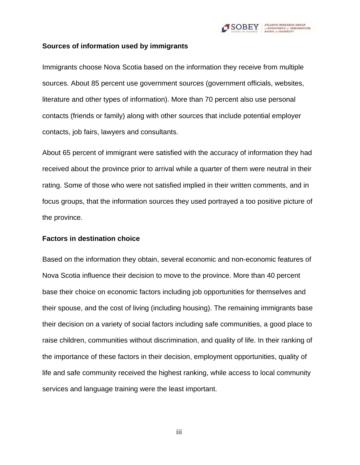

### **Sources of information used by immigrants**

Immigrants choose Nova Scotia based on the information they receive from multiple sources. About 85 percent use government sources (government officials, websites, literature and other types of information). More than 70 percent also use personal contacts (friends or family) along with other sources that include potential employer contacts, job fairs, lawyers and consultants.

About 65 percent of immigrant were satisfied with the accuracy of information they had received about the province prior to arrival while a quarter of them were neutral in their rating. Some of those who were not satisfied implied in their written comments, and in focus groups, that the information sources they used portrayed a too positive picture of the province.

#### **Factors in destination choice**

Based on the information they obtain, several economic and non-economic features of Nova Scotia influence their decision to move to the province. More than 40 percent base their choice on economic factors including job opportunities for themselves and their spouse, and the cost of living (including housing). The remaining immigrants base their decision on a variety of social factors including safe communities, a good place to raise children, communities without discrimination, and quality of life. In their ranking of the importance of these factors in their decision, employment opportunities, quality of life and safe community received the highest ranking, while access to local community services and language training were the least important.

iii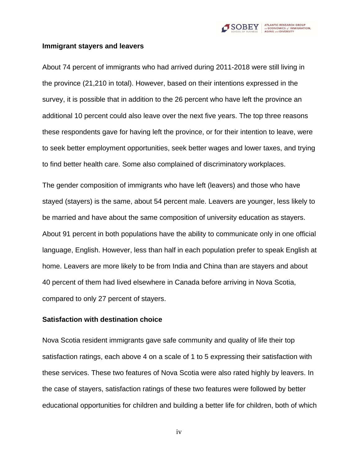

#### **Immigrant stayers and leavers**

About 74 percent of immigrants who had arrived during 2011-2018 were still living in the province (21,210 in total). However, based on their intentions expressed in the survey, it is possible that in addition to the 26 percent who have left the province an additional 10 percent could also leave over the next five years. The top three reasons these respondents gave for having left the province, or for their intention to leave, were to seek better employment opportunities, seek better wages and lower taxes, and trying to find better health care. Some also complained of discriminatory workplaces.

The gender composition of immigrants who have left (leavers) and those who have stayed (stayers) is the same, about 54 percent male. Leavers are younger, less likely to be married and have about the same composition of university education as stayers. About 91 percent in both populations have the ability to communicate only in one official language, English. However, less than half in each population prefer to speak English at home. Leavers are more likely to be from India and China than are stayers and about 40 percent of them had lived elsewhere in Canada before arriving in Nova Scotia, compared to only 27 percent of stayers.

### **Satisfaction with destination choice**

Nova Scotia resident immigrants gave safe community and quality of life their top satisfaction ratings, each above 4 on a scale of 1 to 5 expressing their satisfaction with these services. These two features of Nova Scotia were also rated highly by leavers. In the case of stayers, satisfaction ratings of these two features were followed by better educational opportunities for children and building a better life for children, both of which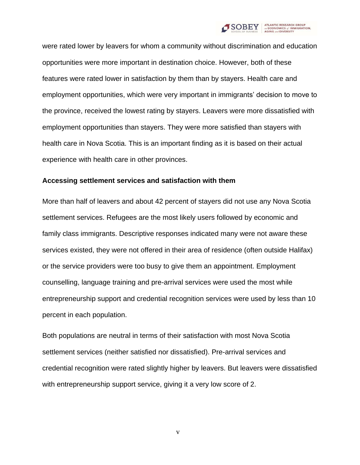

were rated lower by leavers for whom a community without discrimination and education opportunities were more important in destination choice. However, both of these features were rated lower in satisfaction by them than by stayers. Health care and employment opportunities, which were very important in immigrants' decision to move to the province, received the lowest rating by stayers. Leavers were more dissatisfied with employment opportunities than stayers. They were more satisfied than stayers with health care in Nova Scotia. This is an important finding as it is based on their actual experience with health care in other provinces.

#### **Accessing settlement services and satisfaction with them**

More than half of leavers and about 42 percent of stayers did not use any Nova Scotia settlement services. Refugees are the most likely users followed by economic and family class immigrants. Descriptive responses indicated many were not aware these services existed, they were not offered in their area of residence (often outside Halifax) or the service providers were too busy to give them an appointment. Employment counselling, language training and pre-arrival services were used the most while entrepreneurship support and credential recognition services were used by less than 10 percent in each population.

Both populations are neutral in terms of their satisfaction with most Nova Scotia settlement services (neither satisfied nor dissatisfied). Pre-arrival services and credential recognition were rated slightly higher by leavers. But leavers were dissatisfied with entrepreneurship support service, giving it a very low score of 2.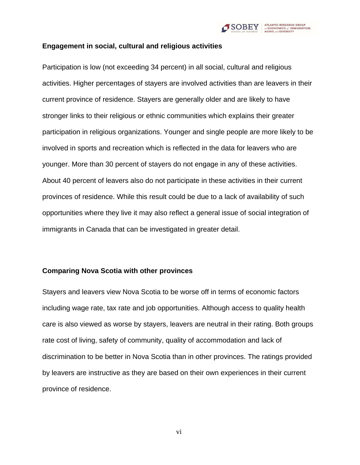

### **Engagement in social, cultural and religious activities**

Participation is low (not exceeding 34 percent) in all social, cultural and religious activities. Higher percentages of stayers are involved activities than are leavers in their current province of residence. Stayers are generally older and are likely to have stronger links to their religious or ethnic communities which explains their greater participation in religious organizations. Younger and single people are more likely to be involved in sports and recreation which is reflected in the data for leavers who are younger. More than 30 percent of stayers do not engage in any of these activities. About 40 percent of leavers also do not participate in these activities in their current provinces of residence. While this result could be due to a lack of availability of such opportunities where they live it may also reflect a general issue of social integration of immigrants in Canada that can be investigated in greater detail.

#### **Comparing Nova Scotia with other provinces**

Stayers and leavers view Nova Scotia to be worse off in terms of economic factors including wage rate, tax rate and job opportunities. Although access to quality health care is also viewed as worse by stayers, leavers are neutral in their rating. Both groups rate cost of living, safety of community, quality of accommodation and lack of discrimination to be better in Nova Scotia than in other provinces. The ratings provided by leavers are instructive as they are based on their own experiences in their current province of residence.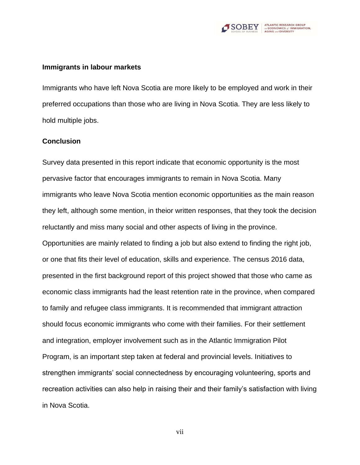

#### **Immigrants in labour markets**

Immigrants who have left Nova Scotia are more likely to be employed and work in their preferred occupations than those who are living in Nova Scotia. They are less likely to hold multiple jobs.

#### **Conclusion**

Survey data presented in this report indicate that economic opportunity is the most pervasive factor that encourages immigrants to remain in Nova Scotia. Many immigrants who leave Nova Scotia mention economic opportunities as the main reason they left, although some mention, in theior written responses, that they took the decision reluctantly and miss many social and other aspects of living in the province. Opportunities are mainly related to finding a job but also extend to finding the right job, or one that fits their level of education, skills and experience. The census 2016 data, presented in the first background report of this project showed that those who came as economic class immigrants had the least retention rate in the province, when compared to family and refugee class immigrants. It is recommended that immigrant attraction should focus economic immigrants who come with their families. For their settlement and integration, employer involvement such as in the Atlantic Immigration Pilot Program, is an important step taken at federal and provincial levels. Initiatives to strengthen immigrants' social connectedness by encouraging volunteering, sports and recreation activities can also help in raising their and their family's satisfaction with living in Nova Scotia.

vii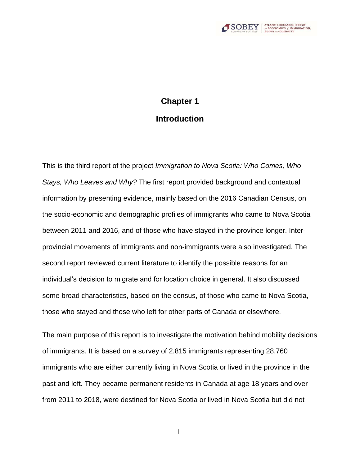

# <span id="page-8-1"></span>**Chapter 1 Introduction**

<span id="page-8-0"></span>This is the third report of the project *Immigration to Nova Scotia: Who Comes, Who Stays, Who Leaves and Why?* The first report provided background and contextual information by presenting evidence, mainly based on the 2016 Canadian Census, on the socio-economic and demographic profiles of immigrants who came to Nova Scotia between 2011 and 2016, and of those who have stayed in the province longer. Interprovincial movements of immigrants and non-immigrants were also investigated. The second report reviewed current literature to identify the possible reasons for an individual's decision to migrate and for location choice in general. It also discussed some broad characteristics, based on the census, of those who came to Nova Scotia, those who stayed and those who left for other parts of Canada or elsewhere.

The main purpose of this report is to investigate the motivation behind mobility decisions of immigrants. It is based on a survey of 2,815 immigrants representing 28,760 immigrants who are either currently living in Nova Scotia or lived in the province in the past and left. They became permanent residents in Canada at age 18 years and over from 2011 to 2018, were destined for Nova Scotia or lived in Nova Scotia but did not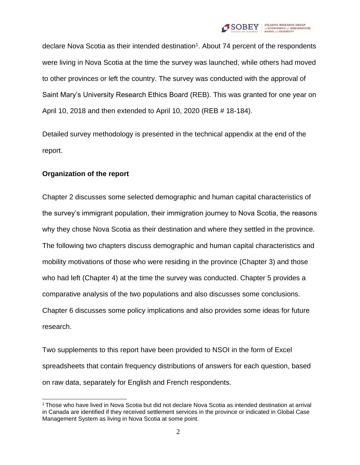

declare Nova Scotia as their intended destination<sup>1</sup>. About 74 percent of the respondents were living in Nova Scotia at the time the survey was launched, while others had moved to other provinces or left the country. The survey was conducted with the approval of Saint Mary's University Research Ethics Board (REB). This was granted for one year on April 10, 2018 and then extended to April 10, 2020 (REB # 18-184).

Detailed survey methodology is presented in the technical appendix at the end of the report.

# **Organization of the report**

Chapter 2 discusses some selected demographic and human capital characteristics of the survey's immigrant population, their immigration journey to Nova Scotia, the reasons why they chose Nova Scotia as their destination and where they settled in the province. The following two chapters discuss demographic and human capital characteristics and mobility motivations of those who were residing in the province (Chapter 3) and those who had left (Chapter 4) at the time the survey was conducted. Chapter 5 provides a comparative analysis of the two populations and also discusses some conclusions. Chapter 6 discusses some policy implications and also provides some ideas for future research.

Two supplements to this report have been provided to NSOI in the form of Excel spreadsheets that contain frequency distributions of answers for each question, based on raw data, separately for English and French respondents.

<sup>1</sup>Those who have lived in Nova Scotia but did not declare Nova Scotia as intended destination at arrival in Canada are identified if they received settlement services in the province or indicated in Global Case Management System as living in Nova Scotia at some point.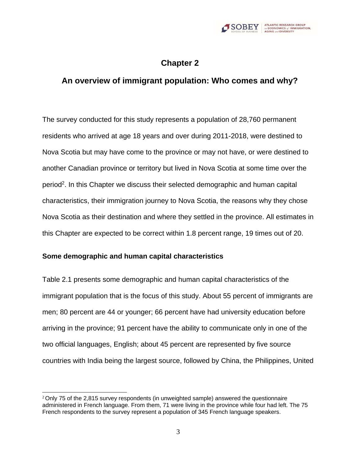

# **Chapter 2**

# <span id="page-10-1"></span><span id="page-10-0"></span>**An overview of immigrant population: Who comes and why?**

The survey conducted for this study represents a population of 28,760 permanent residents who arrived at age 18 years and over during 2011-2018, were destined to Nova Scotia but may have come to the province or may not have, or were destined to another Canadian province or territory but lived in Nova Scotia at some time over the period<sup>2</sup>. In this Chapter we discuss their selected demographic and human capital characteristics, their immigration journey to Nova Scotia, the reasons why they chose Nova Scotia as their destination and where they settled in the province. All estimates in this Chapter are expected to be correct within 1.8 percent range, 19 times out of 20.

#### **Some demographic and human capital characteristics**

Table 2.1 presents some demographic and human capital characteristics of the immigrant population that is the focus of this study. About 55 percent of immigrants are men; 80 percent are 44 or younger; 66 percent have had university education before arriving in the province; 91 percent have the ability to communicate only in one of the two official languages, English; about 45 percent are represented by five source countries with India being the largest source, followed by China, the Philippines, United

 $2$ Only 75 of the 2,815 survey respondents (in unweighted sample) answered the questionnaire administered in French language. From them, 71 were living in the province while four had left. The 75 French respondents to the survey represent a population of 345 French language speakers.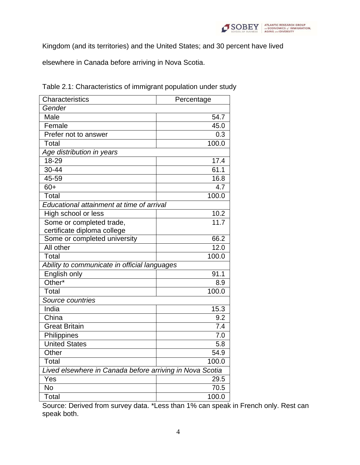

Kingdom (and its territories) and the United States; and 30 percent have lived

elsewhere in Canada before arriving in Nova Scotia.

| Characteristics                                          | Percentage        |  |  |  |
|----------------------------------------------------------|-------------------|--|--|--|
| Gender                                                   |                   |  |  |  |
| Male                                                     | 54.7              |  |  |  |
| Female                                                   | 45.0              |  |  |  |
| Prefer not to answer                                     | 0.3               |  |  |  |
| Total                                                    | 100.0             |  |  |  |
| Age distribution in years                                |                   |  |  |  |
| 18-29                                                    | 17.4              |  |  |  |
| $30 - 44$                                                | 61.1              |  |  |  |
| 45-59                                                    | 16.8              |  |  |  |
| $60+$                                                    | 4.7               |  |  |  |
| <b>Total</b>                                             | 100.0             |  |  |  |
| Educational attainment at time of arrival                |                   |  |  |  |
| High school or less                                      | 10.2              |  |  |  |
| Some or completed trade,                                 | 11.7              |  |  |  |
| certificate diploma college                              |                   |  |  |  |
| Some or completed university                             | $66.\overline{2}$ |  |  |  |
| All other                                                | 12.0              |  |  |  |
| Total                                                    | 100.0             |  |  |  |
| Ability to communicate in official languages             |                   |  |  |  |
| English only                                             | 91.1              |  |  |  |
| Other*                                                   | 8.9               |  |  |  |
| Total                                                    | 100.0             |  |  |  |
| Source countries                                         |                   |  |  |  |
| India                                                    | 15.3              |  |  |  |
| China                                                    | 9.2               |  |  |  |
| <b>Great Britain</b>                                     | 7.4               |  |  |  |
| Philippines                                              | 7.0               |  |  |  |
| <b>United States</b>                                     | 5.8               |  |  |  |
| Other                                                    | 54.9              |  |  |  |
| Total                                                    | 100.0             |  |  |  |
| Lived elsewhere in Canada before arriving in Nova Scotia |                   |  |  |  |
| Yes                                                      | 29.5              |  |  |  |
| No                                                       | 70.5              |  |  |  |
| Total                                                    | 100.0             |  |  |  |

Table 2.1: Characteristics of immigrant population under study

Source: Derived from survey data. \*Less than 1% can speak in French only. Rest can speak both.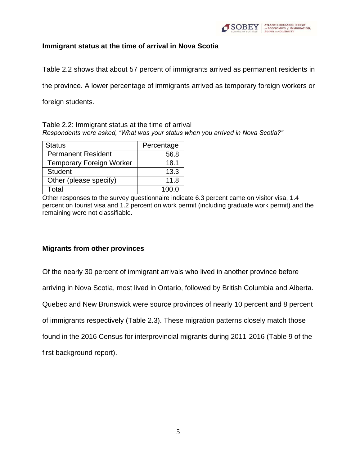

# **Immigrant status at the time of arrival in Nova Scotia**

Table 2.2 shows that about 57 percent of immigrants arrived as permanent residents in

the province. A lower percentage of immigrants arrived as temporary foreign workers or

foreign students.

Table 2.2: Immigrant status at the time of arrival *Respondents were asked, "What was your status when you arrived in Nova Scotia?"*

| <b>Status</b>                   | Percentage |
|---------------------------------|------------|
| <b>Permanent Resident</b>       | 56.8       |
| <b>Temporary Foreign Worker</b> | 18.1       |
| <b>Student</b>                  | 13.3       |
| Other (please specify)          | 11.8       |
| Total                           | 100 Q      |

Other responses to the survey questionnaire indicate 6.3 percent came on visitor visa, 1.4 percent on tourist visa and 1.2 percent on work permit (including graduate work permit) and the remaining were not classifiable.

# **Migrants from other provinces**

Of the nearly 30 percent of immigrant arrivals who lived in another province before

arriving in Nova Scotia, most lived in Ontario, followed by British Columbia and Alberta.

Quebec and New Brunswick were source provinces of nearly 10 percent and 8 percent

of immigrants respectively (Table 2.3). These migration patterns closely match those

found in the 2016 Census for interprovincial migrants during 2011-2016 (Table 9 of the

first background report).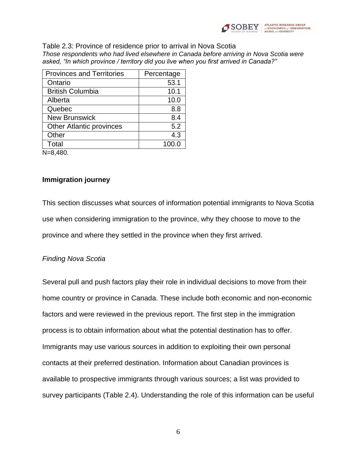

#### Table 2.3: Province of residence prior to arrival in Nova Scotia *Those respondents who had lived elsewhere in Canada before arriving in Nova Scotia were asked, "In which province / territory did you live when you first arrived in Canada?"*

| <b>Provinces and Territories</b> | Percentage |
|----------------------------------|------------|
| Ontario                          | 53.1       |
| <b>British Columbia</b>          | 10.1       |
| Alberta                          | 10.0       |
| Quebec                           | 8.8        |
| <b>New Brunswick</b>             | 8.4        |
| <b>Other Atlantic provinces</b>  | 5.2        |
| Other                            | 4.3        |
| Total                            | 100.0      |
| N=8.480.                         |            |

**Immigration journey**

This section discusses what sources of information potential immigrants to Nova Scotia use when considering immigration to the province, why they choose to move to the province and where they settled in the province when they first arrived.

# *Finding Nova Scotia*

Several pull and push factors play their role in individual decisions to move from their home country or province in Canada. These include both economic and non-economic factors and were reviewed in the previous report. The first step in the immigration process is to obtain information about what the potential destination has to offer. Immigrants may use various sources in addition to exploiting their own personal contacts at their preferred destination. Information about Canadian provinces is available to prospective immigrants through various sources; a list was provided to survey participants (Table 2.4). Understanding the role of this information can be useful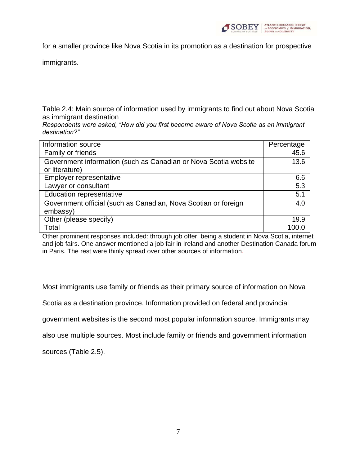

for a smaller province like Nova Scotia in its promotion as a destination for prospective

immigrants.

Table 2.4: Main source of information used by immigrants to find out about Nova Scotia as immigrant destination

*Respondents were asked, "How did you first become aware of Nova Scotia as an immigrant destination?"*

| Information source                                              | Percentage |
|-----------------------------------------------------------------|------------|
| Family or friends                                               | 45.6       |
| Government information (such as Canadian or Nova Scotia website | 13.6       |
| or literature)                                                  |            |
| Employer representative                                         | 6.6        |
| Lawyer or consultant                                            | 5.3        |
| <b>Education representative</b>                                 | 5.1        |
| Government official (such as Canadian, Nova Scotian or foreign  | 4.0        |
| embassy)                                                        |            |
| Other (please specify)                                          | 19.9       |
| Total                                                           | 1በበ (      |

Other prominent responses included: through job offer, being a student in Nova Scotia, internet and job fairs. One answer mentioned a job fair in Ireland and another Destination Canada forum in Paris. The rest were thinly spread over other sources of information.

Most immigrants use family or friends as their primary source of information on Nova

Scotia as a destination province. Information provided on federal and provincial

government websites is the second most popular information source. Immigrants may

also use multiple sources. Most include family or friends and government information

sources (Table 2.5).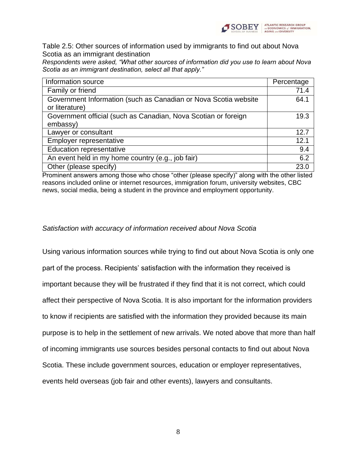

Table 2.5: Other sources of information used by immigrants to find out about Nova Scotia as an immigrant destination

*Respondents were asked, "What other sources of information did you use to learn about Nova Scotia as an immigrant destination, select all that apply."*

| Information source                                                                | Percentage |
|-----------------------------------------------------------------------------------|------------|
| Family or friend                                                                  | 71.4       |
| Government Information (such as Canadian or Nova Scotia website<br>or literature) | 64.1       |
| Government official (such as Canadian, Nova Scotian or foreign                    | 19.3       |
| embassy)                                                                          |            |
| Lawyer or consultant                                                              | 12.7       |
| Employer representative                                                           | 12.1       |
| <b>Education representative</b>                                                   | 9.4        |
| An event held in my home country (e.g., job fair)                                 | 6.2        |
| Other (please specify)                                                            | 23(        |

Prominent answers among those who chose "other (please specify)" along with the other listed reasons included online or internet resources, immigration forum, university websites, CBC news, social media, being a student in the province and employment opportunity.

#### *Satisfaction with accuracy of information received about Nova Scotia*

Using various information sources while trying to find out about Nova Scotia is only one part of the process. Recipients' satisfaction with the information they received is important because they will be frustrated if they find that it is not correct, which could affect their perspective of Nova Scotia. It is also important for the information providers to know if recipients are satisfied with the information they provided because its main purpose is to help in the settlement of new arrivals. We noted above that more than half of incoming immigrants use sources besides personal contacts to find out about Nova Scotia. These include government sources, education or employer representatives, events held overseas (job fair and other events), lawyers and consultants.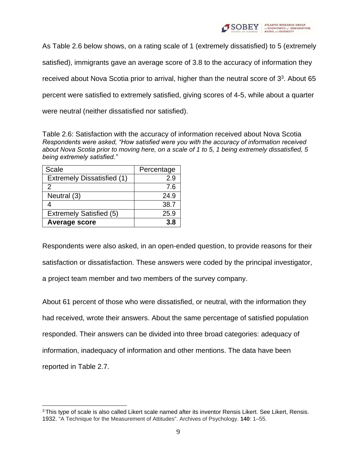

As Table 2.6 below shows, on a rating scale of 1 (extremely dissatisfied) to 5 (extremely satisfied), immigrants gave an average score of 3.8 to the accuracy of information they received about Nova Scotia prior to arrival, higher than the neutral score of  $3<sup>3</sup>$ . About 65 percent were satisfied to extremely satisfied, giving scores of 4-5, while about a quarter were neutral (neither dissatisfied nor satisfied).

Table 2.6: Satisfaction with the accuracy of information received about Nova Scotia *Respondents were asked, "How satisfied were you with the accuracy of information received about Nova Scotia prior to moving here, on a scale of 1 to 5, 1 being extremely dissatisfied, 5 being extremely satisfied."*

| Scale                             | Percentage |
|-----------------------------------|------------|
| <b>Extremely Dissatisfied (1)</b> | 29         |
| 2                                 | 7.6        |
| Neutral (3)                       | 24.9       |
|                                   | 38.7       |
| <b>Extremely Satisfied (5)</b>    | 25.9       |
| Average score                     | 3.8        |

Respondents were also asked, in an open-ended question, to provide reasons for their satisfaction or dissatisfaction. These answers were coded by the principal investigator, a project team member and two members of the survey company.

About 61 percent of those who were dissatisfied, or neutral, with the information they had received, wrote their answers. About the same percentage of satisfied population responded. Their answers can be divided into three broad categories: adequacy of information, inadequacy of information and other mentions. The data have been reported in Table 2.7.

<sup>&</sup>lt;sup>3</sup>This type of scale is also called Likert scale named after its inventor Rensis Likert. See Likert, Rensis. 1932. "A Technique for the Measurement of Attitudes". Archives of Psychology. **140**: 1–55.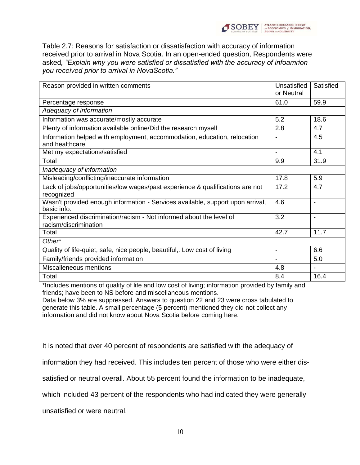

Table 2.7: Reasons for satisfaction or dissatisfaction with accuracy of information received prior to arrival in Nova Scotia. In an open-ended question, Respondents were asked*, "Explain why you were satisfied or dissatisfied with the accuracy of infoamrion you received prior to arrival in NovaScotia."*

| Reason provided in written comments                                                                             | Unsatisfied<br>or Neutral | Satisfied                |
|-----------------------------------------------------------------------------------------------------------------|---------------------------|--------------------------|
| Percentage response                                                                                             | 61.0                      | 59.9                     |
| Adequacy of information                                                                                         |                           |                          |
| Information was accurate/mostly accurate                                                                        | 5.2                       | 18.6                     |
| Plenty of information available online/Did the research myself                                                  | 2.8                       | 4.7                      |
| Information helped with employment, accommodation, education, relocation<br>and healthcare                      | $\overline{\phantom{a}}$  | 4.5                      |
| Met my expectations/satisfied                                                                                   |                           | 4.1                      |
| Total                                                                                                           | 9.9                       | 31.9                     |
| Inadequacy of information                                                                                       |                           |                          |
| Misleading/conflicting/inaccurate information                                                                   | 17.8                      | 5.9                      |
| Lack of jobs/opportunities/low wages/past experience & qualifications are not<br>recognized                     | 17.2                      | 4.7                      |
| Wasn't provided enough information - Services available, support upon arrival,<br>basic info.                   | 4.6                       | $\overline{\phantom{a}}$ |
| Experienced discrimination/racism - Not informed about the level of<br>racism/discrimination                    | 3.2                       |                          |
| Total                                                                                                           | 42.7                      | 11.7                     |
| Other*                                                                                                          |                           |                          |
| Quality of life-quiet, safe, nice people, beautiful,. Low cost of living                                        | $\blacksquare$            | 6.6                      |
| Family/friends provided information                                                                             |                           | 5.0                      |
| Miscalleneous mentions                                                                                          | 4.8                       |                          |
| Total                                                                                                           | 8.4                       | 16.4                     |
| the children according of anighbors of life and hour spectral light on information manufactured by fourth const |                           |                          |

\*Includes mentions of quality of life and low cost of living; information provided by family and friends; have been to NS before and miscellaneous mentions.

Data below 3% are suppressed. Answers to question 22 and 23 were cross tabulated to generate this table. A small percentage (5 percent) mentioned they did not collect any information and did not know about Nova Scotia before coming here.

It is noted that over 40 percent of respondents are satisfied with the adequacy of

information they had received. This includes ten percent of those who were either dis-

satisfied or neutral overall. About 55 percent found the information to be inadequate,

which included 43 percent of the respondents who had indicated they were generally

unsatisfied or were neutral.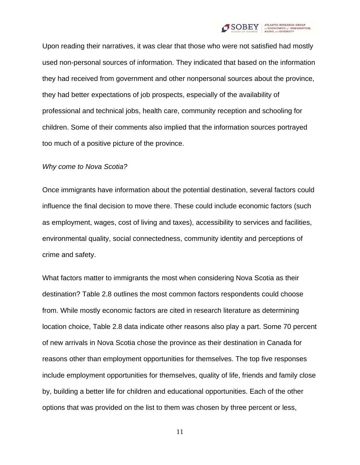

Upon reading their narratives, it was clear that those who were not satisfied had mostly used non-personal sources of information. They indicated that based on the information they had received from government and other nonpersonal sources about the province, they had better expectations of job prospects, especially of the availability of professional and technical jobs, health care, community reception and schooling for children. Some of their comments also implied that the information sources portrayed too much of a positive picture of the province.

#### *Why come to Nova Scotia?*

Once immigrants have information about the potential destination, several factors could influence the final decision to move there. These could include economic factors (such as employment, wages, cost of living and taxes), accessibility to services and facilities, environmental quality, social connectedness, community identity and perceptions of crime and safety.

What factors matter to immigrants the most when considering Nova Scotia as their destination? Table 2.8 outlines the most common factors respondents could choose from. While mostly economic factors are cited in research literature as determining location choice, Table 2.8 data indicate other reasons also play a part. Some 70 percent of new arrivals in Nova Scotia chose the province as their destination in Canada for reasons other than employment opportunities for themselves. The top five responses include employment opportunities for themselves, quality of life, friends and family close by, building a better life for children and educational opportunities. Each of the other options that was provided on the list to them was chosen by three percent or less,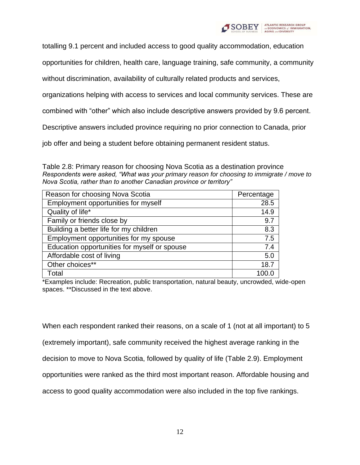

totalling 9.1 percent and included access to good quality accommodation, education

opportunities for children, health care, language training, safe community, a community

without discrimination, availability of culturally related products and services,

organizations helping with access to services and local community services. These are

combined with "other" which also include descriptive answers provided by 9.6 percent.

Descriptive answers included province requiring no prior connection to Canada, prior

job offer and being a student before obtaining permanent resident status.

Table 2.8: Primary reason for choosing Nova Scotia as a destination province *Respondents were asked, "What was your primary reason for choosing to immigrate / move to Nova Scotia, rather than to another Canadian province or territory"*

| Reason for choosing Nova Scotia              | Percentage |
|----------------------------------------------|------------|
| Employment opportunities for myself          | 28.5       |
| Quality of life*                             | 14.9       |
| Family or friends close by                   | 9.7        |
| Building a better life for my children       | 8.3        |
| Employment opportunities for my spouse       | 7.5        |
| Education opportunities for myself or spouse | 7.4        |
| Affordable cost of living                    | 5.0        |
| Other choices**                              | 18.7       |
| Total                                        |            |

\*Examples include: Recreation, public transportation, natural beauty, uncrowded, wide-open spaces. \*\*Discussed in the text above.

When each respondent ranked their reasons, on a scale of 1 (not at all important) to 5 (extremely important), safe community received the highest average ranking in the decision to move to Nova Scotia, followed by quality of life (Table 2.9). Employment opportunities were ranked as the third most important reason. Affordable housing and access to good quality accommodation were also included in the top five rankings.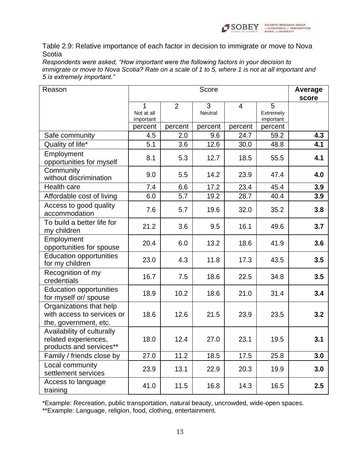

Table 2.9: Relative importance of each factor in decision to immigrate or move to Nova **Scotia** 

*Respondents were asked, "How important were the following factors in your decision to immigrate or move to Nova Scotia? Rate on a scale of 1 to 5, where 1 is not at all important and 5 is extremely important."*

| Reason                                                                         | Score                        |                |                | Average<br>score |                             |     |
|--------------------------------------------------------------------------------|------------------------------|----------------|----------------|------------------|-----------------------------|-----|
|                                                                                | 1<br>Not at all<br>important | $\overline{2}$ | 3<br>Neutral   | $\overline{4}$   | 5<br>Extremely<br>important |     |
| Safe community                                                                 | percent<br>4.5               | percent<br>2.0 | percent<br>9.6 | percent<br>24.7  | percent<br>59.2             | 4.3 |
| Quality of life*                                                               | 5.1                          | 3.6            | 12.6           | 30.0             | 48.8                        | 4.1 |
| Employment<br>opportunities for myself                                         | 8.1                          | 5.3            | 12.7           | 18.5             | 55.5                        | 4.1 |
| Community<br>without discrimination                                            | 9.0                          | 5.5            | 14.2           | 23.9             | 47.4                        | 4.0 |
| <b>Health care</b>                                                             | 7.4                          | 6.6            | 17.2           | 23.4             | 45.4                        | 3.9 |
| Affordable cost of living                                                      | 6.0                          | 5.7            | 19.2           | 28.7             | 40.4                        | 3.9 |
| Access to good quality<br>accommodation                                        | 7.6                          | 5.7            | 19.6           | 32.0             | 35.2                        | 3.8 |
| To build a better life for<br>my children                                      | 21.2                         | 3.6            | 9.5            | 16.1             | 49.6                        | 3.7 |
| Employment<br>opportunities for spouse                                         | 20.4                         | 6.0            | 13.2           | 18.6             | 41.9                        | 3.6 |
| <b>Education opportunities</b><br>for my children                              | 23.0                         | 4.3            | 11.8           | 17.3             | 43.5                        | 3.5 |
| Recognition of my<br>credentials                                               | 16.7                         | 7.5            | 18.6           | 22.5             | 34.8                        | 3.5 |
| <b>Education opportunities</b><br>for myself or/spouse                         | 18.9                         | 10.2           | 18.6           | 21.0             | 31.4                        | 3.4 |
| Organizations that help<br>with access to services or<br>the, government, etc. | 18.6                         | 12.6           | 21.5           | 23.9             | 23.5                        | 3.2 |
| Availability of culturally<br>related experiences,<br>products and services**  | 18.0                         | 12.4           | 27.0           | 23.1             | 19.5                        | 3.1 |
| Family / friends close by                                                      | 27.0                         | 11.2           | 18.5           | 17.5             | 25.8                        | 3.0 |
| Local community<br>settlement services                                         | 23.9                         | 13.1           | 22.9           | 20.3             | 19.9                        | 3.0 |
| Access to language<br>training                                                 | 41.0                         | 11.5           | 16.8           | 14.3             | 16.5                        | 2.5 |

\*Example: Recreation, public transportation, natural beauty, uncrowded, wide-open spaces.

\*\*Example: Language, religion, food, clothing, entertainment.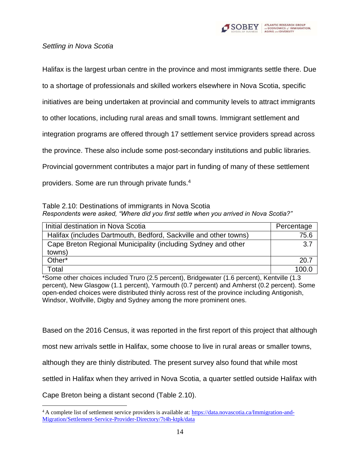

# *Settling in Nova Scotia*

Halifax is the largest urban centre in the province and most immigrants settle there. Due

to a shortage of professionals and skilled workers elsewhere in Nova Scotia, specific

initiatives are being undertaken at provincial and community levels to attract immigrants

to other locations, including rural areas and small towns. Immigrant settlement and

integration programs are offered through 17 settlement service providers spread across

the province. These also include some post-secondary institutions and public libraries.

Provincial government contributes a major part in funding of many of these settlement

providers. Some are run through private funds.<sup>4</sup>

Table 2.10: Destinations of immigrants in Nova Scotia *Respondents were asked, "Where did you first settle when you arrived in Nova Scotia?"*

| Initial destination in Nova Scotia                               | Percentage |
|------------------------------------------------------------------|------------|
| Halifax (includes Dartmouth, Bedford, Sackville and other towns) | 75.6       |
| Cape Breton Regional Municipality (including Sydney and other    | 3.7        |
| towns)                                                           |            |
| Other*                                                           | 20.7       |
| ⊺otal                                                            | 100.0      |

\*Some other choices included Truro (2.5 percent), Bridgewater (1.6 percent), Kentville (1.3 percent), New Glasgow (1.1 percent), Yarmouth (0.7 percent) and Amherst (0.2 percent). Some open-ended choices were distributed thinly across rest of the province including Antigonish, Windsor, Wolfville, Digby and Sydney among the more prominent ones.

Based on the 2016 Census, it was reported in the first report of this project that although

most new arrivals settle in Halifax, some choose to live in rural areas or smaller towns,

although they are thinly distributed. The present survey also found that while most

settled in Halifax when they arrived in Nova Scotia, a quarter settled outside Halifax with

Cape Breton being a distant second (Table 2.10).

<sup>4</sup> A complete list of settlement service providers is available at: [https://data.novascotia.ca/Immigration-and-](https://data.novascotia.ca/Immigration-and-Migration/Settlement-Service-Provider-Directory/7t4h-ktpk/data)[Migration/Settlement-Service-Provider-Directory/7t4h-ktpk/data](https://data.novascotia.ca/Immigration-and-Migration/Settlement-Service-Provider-Directory/7t4h-ktpk/data)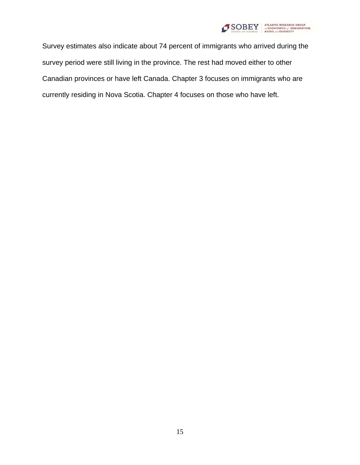

Survey estimates also indicate about 74 percent of immigrants who arrived during the survey period were still living in the province. The rest had moved either to other Canadian provinces or have left Canada. Chapter 3 focuses on immigrants who are currently residing in Nova Scotia. Chapter 4 focuses on those who have left.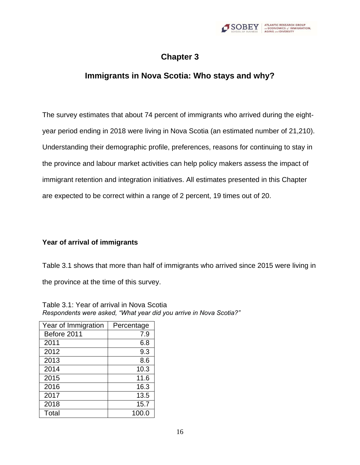

# **Chapter 3**

# <span id="page-23-0"></span>**Immigrants in Nova Scotia: Who stays and why?**

<span id="page-23-1"></span>The survey estimates that about 74 percent of immigrants who arrived during the eightyear period ending in 2018 were living in Nova Scotia (an estimated number of 21,210). Understanding their demographic profile, preferences, reasons for continuing to stay in the province and labour market activities can help policy makers assess the impact of immigrant retention and integration initiatives. All estimates presented in this Chapter are expected to be correct within a range of 2 percent, 19 times out of 20.

# **Year of arrival of immigrants**

Table 3.1 shows that more than half of immigrants who arrived since 2015 were living in the province at the time of this survey.

Table 3.1: Year of arrival in Nova Scotia *Respondents were asked, "What year did you arrive in Nova Scotia?"*

| Year of Immigration | Percentage |
|---------------------|------------|
| Before 2011         | 7.9        |
| 2011                | 6.8        |
| 2012                | 9.3        |
| 2013                | 8.6        |
| 2014                | 10.3       |
| 2015                | 11.6       |
| 2016                | 16.3       |
| 2017                | 13.5       |
| 2018                | 15.7       |
| Total               | 100.0      |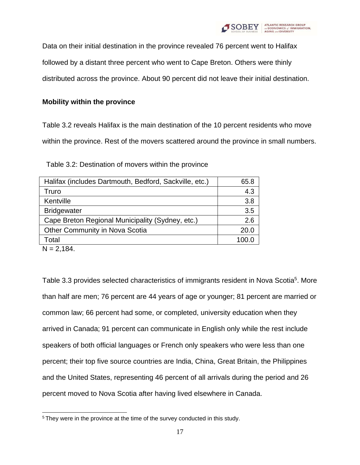

Data on their initial destination in the province revealed 76 percent went to Halifax

followed by a distant three percent who went to Cape Breton. Others were thinly

distributed across the province. About 90 percent did not leave their initial destination.

# **Mobility within the province**

Table 3.2 reveals Halifax is the main destination of the 10 percent residents who move within the province. Rest of the movers scattered around the province in small numbers.

Table 3.2: Destination of movers within the province

| Halifax (includes Dartmouth, Bedford, Sackville, etc.) | 65.8  |
|--------------------------------------------------------|-------|
| Truro                                                  | 4.3   |
| Kentville                                              | 3.8   |
| <b>Bridgewater</b>                                     | 3.5   |
| Cape Breton Regional Municipality (Sydney, etc.)       | 2.6   |
| Other Community in Nova Scotia                         | 20.0  |
| Total                                                  | 100.0 |

 $N = 2,184.$ 

Table 3.3 provides selected characteristics of immigrants resident in Nova Scotia<sup>5</sup>. More than half are men; 76 percent are 44 years of age or younger; 81 percent are married or common law; 66 percent had some, or completed, university education when they arrived in Canada; 91 percent can communicate in English only while the rest include speakers of both official languages or French only speakers who were less than one percent; their top five source countries are India, China, Great Britain, the Philippines and the United States, representing 46 percent of all arrivals during the period and 26 percent moved to Nova Scotia after having lived elsewhere in Canada.

<sup>5</sup> They were in the province at the time of the survey conducted in this study.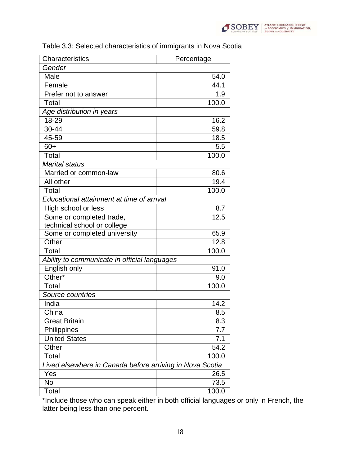

| Characteristics                                          | Percentage |  |
|----------------------------------------------------------|------------|--|
| Gender                                                   |            |  |
| Male                                                     | 54.0       |  |
| Female                                                   | 44.1       |  |
| Prefer not to answer                                     | 1.9        |  |
| Total                                                    | 100.0      |  |
| Age distribution in years                                |            |  |
| 18-29                                                    | 16.2       |  |
| $30 - 44$                                                | 59.8       |  |
| 45-59                                                    | 18.5       |  |
| $60+$                                                    | 5.5        |  |
| Total                                                    | 100.0      |  |
| <b>Marital status</b>                                    |            |  |
| Married or common-law                                    | 80.6       |  |
| All other                                                | 19.4       |  |
| Total                                                    | 100.0      |  |
| Educational attainment at time of arrival                |            |  |
| High school or less                                      | 8.7        |  |
| Some or completed trade,                                 | 12.5       |  |
| technical school or college                              |            |  |
| Some or completed university                             | 65.9       |  |
| Other                                                    | 12.8       |  |
| Total                                                    | 100.0      |  |
| Ability to communicate in official languages             |            |  |
| English only                                             | 91.0       |  |
| Other*                                                   | 9.0        |  |
| Total                                                    | 100.0      |  |
| Source countries                                         |            |  |
| India                                                    | 14.2       |  |
| China                                                    | 8.5        |  |
| <b>Great Britain</b>                                     | 8.3        |  |
| Philippines                                              | 7.7        |  |
| <b>United States</b>                                     | 7.1        |  |
| Other                                                    | 54.2       |  |
| Total                                                    | 100.0      |  |
| Lived elsewhere in Canada before arriving in Nova Scotia |            |  |
| Yes                                                      | 26.5       |  |
| <b>No</b>                                                | 73.5       |  |
| Total                                                    | 100.0      |  |

# Table 3.3: Selected characteristics of immigrants in Nova Scotia

\*Include those who can speak either in both official languages or only in French, the latter being less than one percent.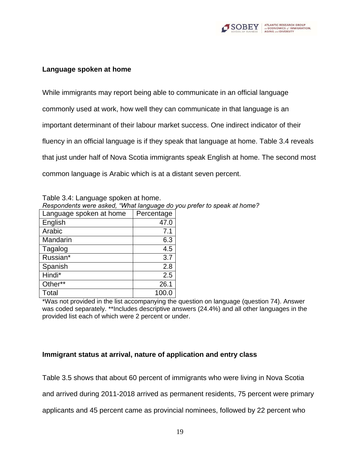

### **Language spoken at home**

While immigrants may report being able to communicate in an official language commonly used at work, how well they can communicate in that language is an important determinant of their labour market success. One indirect indicator of their fluency in an official language is if they speak that language at home. Table 3.4 reveals that just under half of Nova Scotia immigrants speak English at home. The second most common language is Arabic which is at a distant seven percent.

Table 3.4: Language spoken at home. *Respondents were asked, "What language do you prefer to speak at home?*

| Language spoken at home | Percentage |
|-------------------------|------------|
| English                 | 47.0       |
| Arabic                  | 7.1        |
| Mandarin                | 6.3        |
| Tagalog                 | 4.5        |
| Russian*                | 3.7        |
| Spanish                 | 2.8        |
| Hindi*                  | 2.5        |
| Other**                 | 26.1       |
| Total                   | 100        |

\*Was not provided in the list accompanying the question on language (question 74). Answer was coded separately. \*\*Includes descriptive answers (24.4%) and all other languages in the provided list each of which were 2 percent or under.

# **Immigrant status at arrival, nature of application and entry class**

Table 3.5 shows that about 60 percent of immigrants who were living in Nova Scotia

and arrived during 2011-2018 arrived as permanent residents, 75 percent were primary

applicants and 45 percent came as provincial nominees, followed by 22 percent who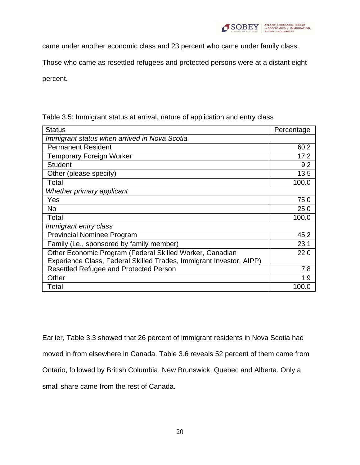

came under another economic class and 23 percent who came under family class.

Those who came as resettled refugees and protected persons were at a distant eight

percent.

| <b>Status</b>                                                       | Percentage |  |
|---------------------------------------------------------------------|------------|--|
| Immigrant status when arrived in Nova Scotia                        |            |  |
| <b>Permanent Resident</b>                                           | 60.2       |  |
| <b>Temporary Foreign Worker</b>                                     | 17.2       |  |
| <b>Student</b>                                                      | 9.2        |  |
| Other (please specify)                                              | 13.5       |  |
| Total                                                               | 100.0      |  |
| Whether primary applicant                                           |            |  |
| Yes                                                                 | 75.0       |  |
| <b>No</b>                                                           | 25.0       |  |
| Total                                                               | 100.0      |  |
| Immigrant entry class                                               |            |  |
| <b>Provincial Nominee Program</b>                                   | 45.2       |  |
| Family (i.e., sponsored by family member)                           | 23.1       |  |
| Other Economic Program (Federal Skilled Worker, Canadian            | 22.0       |  |
| Experience Class, Federal Skilled Trades, Immigrant Investor, AIPP) |            |  |
| Resettled Refugee and Protected Person                              | 7.8        |  |
| Other                                                               | 1.9        |  |
| Total                                                               | 100.0      |  |

Table 3.5: Immigrant status at arrival, nature of application and entry class

Earlier, Table 3.3 showed that 26 percent of immigrant residents in Nova Scotia had

moved in from elsewhere in Canada. Table 3.6 reveals 52 percent of them came from

Ontario, followed by British Columbia, New Brunswick, Quebec and Alberta. Only a

small share came from the rest of Canada.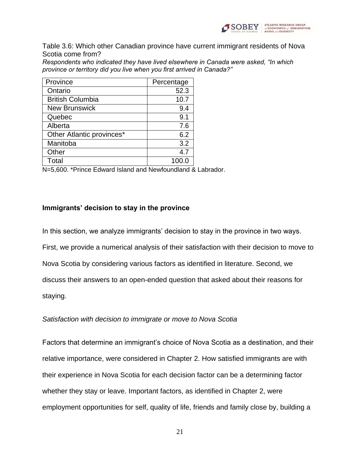

Table 3.6: Which other Canadian province have current immigrant residents of Nova Scotia come from?

*Respondents who indicated they have lived elsewhere in Canada were asked, "In which province or territory did you live when you first arrived in Canada?"*

| Province                  | Percentage |
|---------------------------|------------|
| Ontario                   | 52.3       |
| <b>British Columbia</b>   | 10.7       |
| <b>New Brunswick</b>      | 9.4        |
| Quebec                    | 9.1        |
| Alberta                   | 7.6        |
| Other Atlantic provinces* | 6.2        |
| Manitoba                  | 3.2        |
| Other                     | 4.7        |
| Total                     | 100.0      |

N=5,600. \*Prince Edward Island and Newfoundland & Labrador.

### **Immigrants' decision to stay in the province**

In this section, we analyze immigrants' decision to stay in the province in two ways. First, we provide a numerical analysis of their satisfaction with their decision to move to Nova Scotia by considering various factors as identified in literature. Second, we discuss their answers to an open-ended question that asked about their reasons for staying.

#### *Satisfaction with decision to immigrate or move to Nova Scotia*

Factors that determine an immigrant's choice of Nova Scotia as a destination, and their relative importance, were considered in Chapter 2. How satisfied immigrants are with their experience in Nova Scotia for each decision factor can be a determining factor whether they stay or leave. Important factors, as identified in Chapter 2, were employment opportunities for self, quality of life, friends and family close by, building a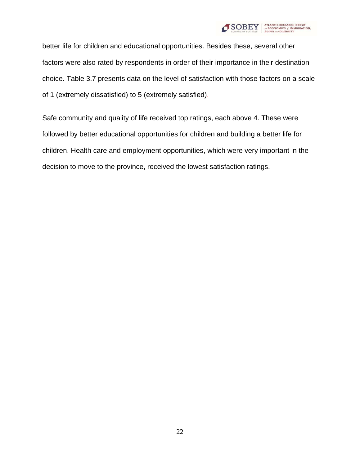

better life for children and educational opportunities. Besides these, several other factors were also rated by respondents in order of their importance in their destination choice. Table 3.7 presents data on the level of satisfaction with those factors on a scale of 1 (extremely dissatisfied) to 5 (extremely satisfied).

Safe community and quality of life received top ratings, each above 4. These were followed by better educational opportunities for children and building a better life for children. Health care and employment opportunities, which were very important in the decision to move to the province, received the lowest satisfaction ratings.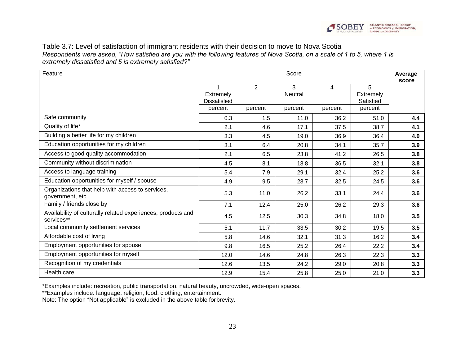

Table 3.7: Level of satisfaction of immigrant residents with their decision to move to Nova Scotia *Respondents were asked, "How satisfied are you with the following features of Nova Scotia, on a scale of 1 to 5, where 1 is extremely dissatisfied and 5 is extremely satisfied?"*

| Feature                                                                    | Score                                 |         |                     |         | Average<br>score                   |     |
|----------------------------------------------------------------------------|---------------------------------------|---------|---------------------|---------|------------------------------------|-----|
|                                                                            | 1<br>Extremely<br><b>Dissatisfied</b> | 2       | 3<br><b>Neutral</b> | 4       | 5<br><b>Extremely</b><br>Satisfied |     |
|                                                                            | percent                               | percent | percent             | percent | percent                            |     |
| Safe community                                                             | 0.3                                   | 1.5     | 11.0                | 36.2    | 51.0                               | 4.4 |
| Quality of life*                                                           | 2.1                                   | 4.6     | 17.1                | 37.5    | 38.7                               | 4.1 |
| Building a better life for my children                                     | 3.3                                   | 4.5     | 19.0                | 36.9    | 36.4                               | 4.0 |
| Education opportunities for my children                                    | 3.1                                   | 6.4     | 20.8                | 34.1    | 35.7                               | 3.9 |
| Access to good quality accommodation                                       | 2.1                                   | 6.5     | 23.8                | 41.2    | 26.5                               | 3.8 |
| Community without discrimination                                           | 4.5                                   | 8.1     | 18.8                | 36.5    | 32.1                               | 3.8 |
| Access to language training                                                | 5.4                                   | 7.9     | 29.1                | 32.4    | 25.2                               | 3.6 |
| Education opportunities for myself / spouse                                | 4.9                                   | 9.5     | 28.7                | 32.5    | 24.5                               | 3.6 |
| Organizations that help with access to services,<br>government, etc.       | 5.3                                   | 11.0    | 26.2                | 33.1    | 24.4                               | 3.6 |
| Family / friends close by                                                  | 7.1                                   | 12.4    | 25.0                | 26.2    | 29.3                               | 3.6 |
| Availability of culturally related experiences, products and<br>services** | 4.5                                   | 12.5    | 30.3                | 34.8    | 18.0                               | 3.5 |
| Local community settlement services                                        | 5.1                                   | 11.7    | 33.5                | 30.2    | 19.5                               | 3.5 |
| Affordable cost of living                                                  | 5.8                                   | 14.6    | 32.1                | 31.3    | 16.2                               | 3.4 |
| Employment opportunities for spouse                                        | 9.8                                   | 16.5    | 25.2                | 26.4    | 22.2                               | 3.4 |
| Employment opportunities for myself                                        | 12.0                                  | 14.6    | 24.8                | 26.3    | 22.3                               | 3.3 |
| Recognition of my credentials                                              | 12.6                                  | 13.5    | 24.2                | 29.0    | 20.8                               | 3.3 |
| Health care                                                                | 12.9                                  | 15.4    | 25.8                | 25.0    | 21.0                               | 3.3 |

\*Examples include: recreation, public transportation, natural beauty, uncrowded, wide-open spaces.

\*\*Examples include: language, religion, food, clothing, entertainment.

Note: The option "Not applicable" is excluded in the above table forbrevity.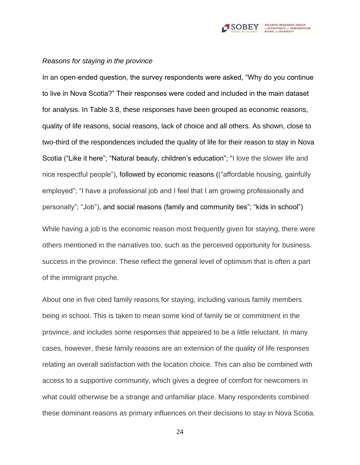

#### *Reasons for staying in the province*

In an open-ended question, the survey respondents were asked, "Why do you continue to live in Nova Scotia?" Their responses were coded and included in the main dataset for analysis. In Table 3.8, these responses have been grouped as economic reasons, quality of life reasons, social reasons, lack of choice and all others. As shown, close to two-third of the respondences included the quality of life for their reason to stay in Nova Scotia ("Like it here"; "Natural beauty, children's education"; "I love the slower life and nice respectful people"), followed by economic reasons (("affordable housing, gainfully employed"; "I have a professional job and I feel that I am growing professionally and personally"; "Job"), and social reasons (family and community ties"; "kids in school")

While having a job is the economic reason most frequently given for staying, there were others mentioned in the narratives too, such as the perceived opportunity for business success in the province. These reflect the general level of optimism that is often a part of the immigrant psyche.

About one in five cited family reasons for staying, including various family members being in school. This is taken to mean some kind of family tie or commitment in the province, and includes some responses that appeared to be a little reluctant. In many cases, however, these family reasons are an extension of the quality of life responses relating an overall satisfaction with the location choice. This can also be combined with access to a supportive community, which gives a degree of comfort for newcomers in what could otherwise be a strange and unfamiliar place. Many respondents combined these dominant reasons as primary influences on their decisions to stay in Nova Scotia.

24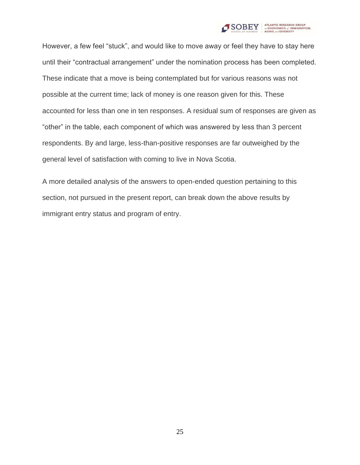

However, a few feel "stuck", and would like to move away or feel they have to stay here until their "contractual arrangement" under the nomination process has been completed. These indicate that a move is being contemplated but for various reasons was not possible at the current time; lack of money is one reason given for this. These accounted for less than one in ten responses. A residual sum of responses are given as "other" in the table, each component of which was answered by less than 3 percent respondents. By and large, less-than-positive responses are far outweighed by the general level of satisfaction with coming to live in Nova Scotia.

A more detailed analysis of the answers to open-ended question pertaining to this section, not pursued in the present report, can break down the above results by immigrant entry status and program of entry.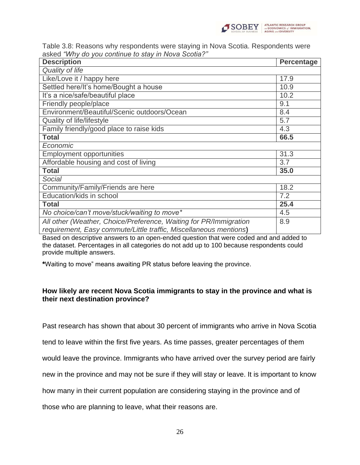

Table 3.8: Reasons why respondents were staying in Nova Scotia. Respondents were asked *"Why do you continue to stay in Nova Scotia?"*

| <b>Description</b>                                                                                                                     | <b>Percentage</b> |
|----------------------------------------------------------------------------------------------------------------------------------------|-------------------|
| Quality of life                                                                                                                        |                   |
| Like/Love it / happy here                                                                                                              | 17.9              |
| Settled here/It's home/Bought a house                                                                                                  | 10.9              |
| It's a nice/safe/beautiful place                                                                                                       | 10.2              |
| Friendly people/place                                                                                                                  | 9.1               |
| Environment/Beautiful/Scenic outdoors/Ocean                                                                                            | 8.4               |
| Quality of life/lifestyle                                                                                                              | 5.7               |
| Family friendly/good place to raise kids                                                                                               | 4.3               |
| <b>Total</b>                                                                                                                           | 66.5              |
| Economic                                                                                                                               |                   |
| <b>Employment opportunities</b>                                                                                                        | 31.3              |
| Affordable housing and cost of living                                                                                                  | 3.7               |
| <b>Total</b>                                                                                                                           | 35.0              |
| Social                                                                                                                                 |                   |
| Community/Family/Friends are here                                                                                                      | 18.2              |
| Education/kids in school                                                                                                               | 7.2               |
| <b>Total</b>                                                                                                                           | 25.4              |
| No choice/can't move/stuck/waiting to move*                                                                                            | 4.5               |
| All other (Weather, Choice/Preference, Waiting for PR/Immigration<br>requirement, Easy commute/Little traffic, Miscellaneous mentions) | 8.9               |

Based on descriptive answers to an open-ended question that were coded and and added to the dataset. Percentages in all categories do not add up to 100 because respondents could provide multiple answers.

**\***Waiting to move" means awaiting PR status before leaving the province.

### **How likely are recent Nova Scotia immigrants to stay in the province and what is their next destination province?**

Past research has shown that about 30 percent of immigrants who arrive in Nova Scotia

tend to leave within the first five years. As time passes, greater percentages of them

would leave the province. Immigrants who have arrived over the survey period are fairly

new in the province and may not be sure if they will stay or leave. It is important to know

how many in their current population are considering staying in the province and of

those who are planning to leave, what their reasons are.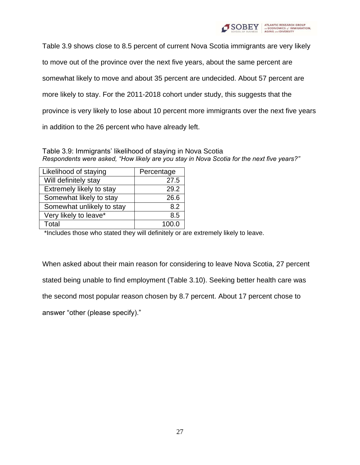

Table 3.9 shows close to 8.5 percent of current Nova Scotia immigrants are very likely to move out of the province over the next five years, about the same percent are somewhat likely to move and about 35 percent are undecided. About 57 percent are more likely to stay. For the 2011-2018 cohort under study, this suggests that the province is very likely to lose about 10 percent more immigrants over the next five years in addition to the 26 percent who have already left.

Table 3.9: Immigrants' likelihood of staying in Nova Scotia *Respondents were asked, "How likely are you stay in Nova Scotia for the next five years?"*

| Likelihood of staying     | Percentage |
|---------------------------|------------|
| Will definitely stay      | 27.5       |
| Extremely likely to stay  | 29.2       |
| Somewhat likely to stay   | 26.6       |
| Somewhat unlikely to stay | 8.2        |
| Very likely to leave*     | 8.5        |
| Total                     | 100.0      |

\*Includes those who stated they will definitely or are extremely likely to leave.

When asked about their main reason for considering to leave Nova Scotia, 27 percent stated being unable to find employment (Table 3.10). Seeking better health care was the second most popular reason chosen by 8.7 percent. About 17 percent chose to answer "other (please specify)."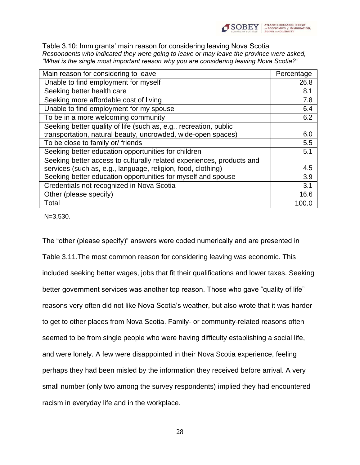

Table 3.10: Immigrants' main reason for considering leaving Nova Scotia *Respondents who indicated they were going to leave or may leave the province were asked, "What is the single most important reason why you are considering leaving Nova Scotia?"*

| Main reason for considering to leave                                  | Percentage |
|-----------------------------------------------------------------------|------------|
| Unable to find employment for myself                                  | 26.8       |
| Seeking better health care                                            | 8.1        |
| Seeking more affordable cost of living                                | 7.8        |
| Unable to find employment for my spouse                               | 6.4        |
| To be in a more welcoming community                                   | 6.2        |
| Seeking better quality of life (such as, e.g., recreation, public     |            |
| transportation, natural beauty, uncrowded, wide-open spaces)          | 6.0        |
| To be close to family or/ friends                                     | 5.5        |
| Seeking better education opportunities for children                   | 5.1        |
| Seeking better access to culturally related experiences, products and |            |
| services (such as, e.g., language, religion, food, clothing)          | 4.5        |
| Seeking better education opportunities for myself and spouse          | 3.9        |
| Credentials not recognized in Nova Scotia                             | 3.1        |
| Other (please specify)                                                | 16.6       |
| Total                                                                 | 100.0      |

N=3,530.

The "other (please specify)" answers were coded numerically and are presented in Table 3.11.The most common reason for considering leaving was economic. This included seeking better wages, jobs that fit their qualifications and lower taxes. Seeking better government services was another top reason. Those who gave "quality of life" reasons very often did not like Nova Scotia's weather, but also wrote that it was harder to get to other places from Nova Scotia. Family- or community-related reasons often seemed to be from single people who were having difficulty establishing a social life, and were lonely. A few were disappointed in their Nova Scotia experience, feeling perhaps they had been misled by the information they received before arrival. A very small number (only two among the survey respondents) implied they had encountered racism in everyday life and in the workplace.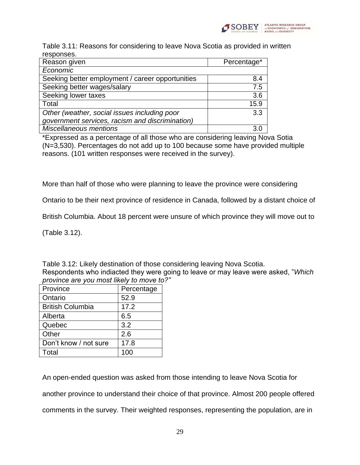

Table 3.11: Reasons for considering to leave Nova Scotia as provided in written responses.

| ,,,,,,,,,,,,                                     |             |
|--------------------------------------------------|-------------|
| Reason given                                     | Percentage* |
| Economic                                         |             |
| Seeking better employment / career opportunities | 8.4         |
| Seeking better wages/salary                      | 7.5         |
| Seeking lower taxes                              | 3.6         |
| Total                                            | 15.9        |
| Other (weather, social issues including poor     | 3.3         |
| government services, racism and discrimination)  |             |
| <b>Miscellaneous mentions</b>                    | 3.0         |

\*Expressed as a percentage of all those who are considering leaving Nova Sotia (N=3,530). Percentages do not add up to 100 because some have provided multiple reasons. (101 written responses were received in the survey).

More than half of those who were planning to leave the province were considering

Ontario to be their next province of residence in Canada, followed by a distant choice of

British Columbia. About 18 percent were unsure of which province they will move out to

(Table 3.12).

Table 3.12: Likely destination of those considering leaving Nova Scotia. Respondents who indiacted they were going to leave or may leave were asked, "*Which province are you most likely to move to?"*

| Province                | Percentage |
|-------------------------|------------|
| Ontario                 | 52.9       |
| <b>British Columbia</b> | 17.2       |
| Alberta                 | 6.5        |
| Quebec                  | 3.2        |
| Other                   | 2.6        |
| Don't know / not sure   | 17.8       |
| Total                   | 100        |

An open-ended question was asked from those intending to leave Nova Scotia for another province to understand their choice of that province. Almost 200 people offered comments in the survey. Their weighted responses, representing the population, are in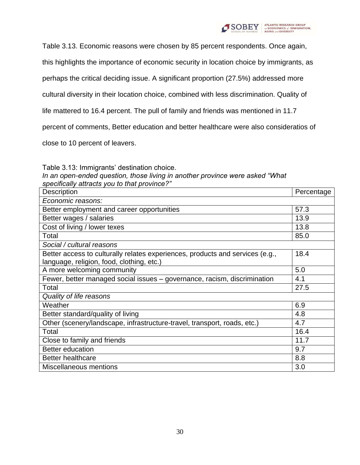

Table 3.13. Economic reasons were chosen by 85 percent respondents. Once again,

this highlights the importance of economic security in location choice by immigrants, as

perhaps the critical deciding issue. A significant proportion (27.5%) addressed more

cultural diversity in their location choice, combined with less discrimination. Quality of

life mattered to 16.4 percent. The pull of family and friends was mentioned in 11.7

percent of comments, Better education and better healthcare were also consideratios of

close to 10 percent of leavers.

Table 3.13: Immigrants' destination choice.

*In an open-ended question, those living in another province were asked "What specifically attracts you to that province?"*

| <b>Description</b>                                                            | Percentage |
|-------------------------------------------------------------------------------|------------|
| Economic reasons:                                                             |            |
| Better employment and career opportunities                                    | 57.3       |
| Better wages / salaries                                                       | 13.9       |
| Cost of living / lower texes                                                  | 13.8       |
| Total                                                                         | 85.0       |
| Social / cultural reasons                                                     |            |
| Better access to culturally relates experiences, products and services (e.g., | 18.4       |
| language, religion, food, clothing, etc.)                                     |            |
| A more welcoming community                                                    | 5.0        |
| Fewer, better managed social issues - governance, racism, discrimination      | 4.1        |
| Total                                                                         | 27.5       |
| Quality of life reasons                                                       |            |
| Weather                                                                       | 6.9        |
| Better standard/quality of living                                             | 4.8        |
| Other (scenery/landscape, infrastructure-travel, transport, roads, etc.)      | 4.7        |
| Total                                                                         | 16.4       |
| Close to family and friends                                                   | 11.7       |
| <b>Better education</b>                                                       | 9.7        |
| <b>Better healthcare</b>                                                      | 8.8        |
| <b>Miscellaneous mentions</b>                                                 | 3.0        |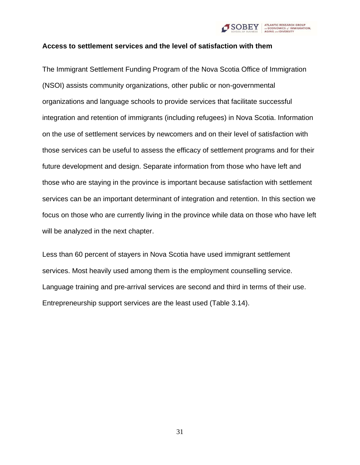

#### **Access to settlement services and the level of satisfaction with them**

The Immigrant Settlement Funding Program of the Nova Scotia Office of Immigration (NSOI) assists community organizations, other public or non-governmental organizations and language schools to provide services that facilitate successful integration and retention of immigrants (including refugees) in Nova Scotia. Information on the use of settlement services by newcomers and on their level of satisfaction with those services can be useful to assess the efficacy of settlement programs and for their future development and design. Separate information from those who have left and those who are staying in the province is important because satisfaction with settlement services can be an important determinant of integration and retention. In this section we focus on those who are currently living in the province while data on those who have left will be analyzed in the next chapter.

Less than 60 percent of stayers in Nova Scotia have used immigrant settlement services. Most heavily used among them is the employment counselling service. Language training and pre-arrival services are second and third in terms of their use. Entrepreneurship support services are the least used (Table 3.14).

31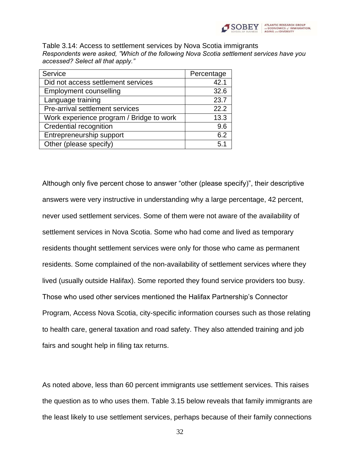

Table 3.14: Access to settlement services by Nova Scotia immigrants *Respondents were asked, "Which of the following Nova Scotia settlement services have you accessed? Select all that apply."*

| Service                                  | Percentage |
|------------------------------------------|------------|
| Did not access settlement services       | 42.1       |
| <b>Employment counselling</b>            | 32.6       |
| Language training                        | 23.7       |
| Pre-arrival settlement services          | 22.2       |
| Work experience program / Bridge to work | 13.3       |
| Credential recognition                   | 9.6        |
| Entrepreneurship support                 | 6.2        |
| Other (please specify)                   | 5.1        |

Although only five percent chose to answer "other (please specify)", their descriptive answers were very instructive in understanding why a large percentage, 42 percent, never used settlement services. Some of them were not aware of the availability of settlement services in Nova Scotia. Some who had come and lived as temporary residents thought settlement services were only for those who came as permanent residents. Some complained of the non-availability of settlement services where they lived (usually outside Halifax). Some reported they found service providers too busy. Those who used other services mentioned the Halifax Partnership's Connector Program, Access Nova Scotia, city-specific information courses such as those relating to health care, general taxation and road safety. They also attended training and job fairs and sought help in filing tax returns.

As noted above, less than 60 percent immigrants use settlement services. This raises the question as to who uses them. Table 3.15 below reveals that family immigrants are the least likely to use settlement services, perhaps because of their family connections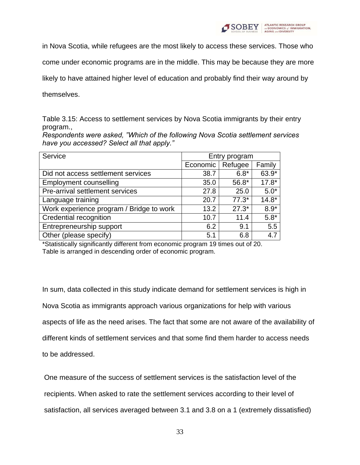

in Nova Scotia, while refugees are the most likely to access these services. Those who

come under economic programs are in the middle. This may be because they are more

likely to have attained higher level of education and probably find their way around by

themselves.

Table 3.15: Access to settlement services by Nova Scotia immigrants by their entry program.,

*Respondents were asked, "Which of the following Nova Scotia settlement services have you accessed? Select all that apply."*

| Service                                  | Entry program |         |         |
|------------------------------------------|---------------|---------|---------|
|                                          | Economic      | Refugee | Family  |
| Did not access settlement services       | 38.7          | $6.8*$  | 63.9*   |
| <b>Employment counselling</b>            | 35.0          | 56.8*   | $17.8*$ |
| Pre-arrival settlement services          | 27.8          | 25.0    | $5.0*$  |
| Language training                        | 20.7          | $77.3*$ | $14.8*$ |
| Work experience program / Bridge to work | 13.2          | $27.3*$ | $8.9*$  |
| Credential recognition                   | 10.7          | 11.4    | $5.8*$  |
| Entrepreneurship support                 | 6.2           | 9.1     | 5.5     |
| Other (please specify)                   | 5.1           | 6.8     | 4.7     |

\*Statistically significantly different from economic program 19 times out of 20. Table is arranged in descending order of economic program.

In sum, data collected in this study indicate demand for settlement services is high in Nova Scotia as immigrants approach various organizations for help with various aspects of life as the need arises. The fact that some are not aware of the availability of different kinds of settlement services and that some find them harder to access needs to be addressed.

One measure of the success of settlement services is the satisfaction level of the recipients. When asked to rate the settlement services according to their level of satisfaction, all services averaged between 3.1 and 3.8 on a 1 (extremely dissatisfied)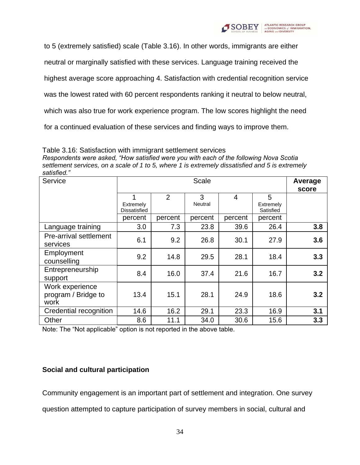

to 5 (extremely satisfied) scale (Table 3.16). In other words, immigrants are either

neutral or marginally satisfied with these services. Language training received the

highest average score approaching 4. Satisfaction with credential recognition service

was the lowest rated with 60 percent respondents ranking it neutral to below neutral,

which was also true for work experience program. The low scores highlight the need

for a continued evaluation of these services and finding ways to improve them.

#### Table 3.16: Satisfaction with immigrant settlement services

*Respondents were asked, "How satisfied were you with each of the following Nova Scotia settlement services, on a scale of 1 to 5, where 1 is extremely dissatisfied and 5 is extremely satisfied."*

| Service                                        |                                | Scale          |              |                |                             | Average<br>score |
|------------------------------------------------|--------------------------------|----------------|--------------|----------------|-----------------------------|------------------|
|                                                | 1<br>Extremely<br>Dissatisfied | $\overline{2}$ | 3<br>Neutral | $\overline{4}$ | 5<br>Extremely<br>Satisfied |                  |
|                                                | percent                        | percent        | percent      | percent        | percent                     |                  |
| Language training                              | 3.0                            | 7.3            | 23.8         | 39.6           | 26.4                        | 3.8              |
| Pre-arrival settlement<br>services             | 6.1                            | 9.2            | 26.8         | 30.1           | 27.9                        | 3.6              |
| Employment<br>counselling                      | 9.2                            | 14.8           | 29.5         | 28.1           | 18.4                        | 3.3              |
| Entrepreneurship<br>support                    | 8.4                            | 16.0           | 37.4         | 21.6           | 16.7                        | 3.2              |
| Work experience<br>program / Bridge to<br>work | 13.4                           | 15.1           | 28.1         | 24.9           | 18.6                        | 3.2              |
| Credential recognition                         | 14.6                           | 16.2           | 29.1         | 23.3           | 16.9                        | 3.1              |
| Other                                          | 8.6                            | 11.1           | 34.0         | 30.6           | 15.6                        | 3.3              |

Note: The "Not applicable" option is not reported in the above table.

### **Social and cultural participation**

Community engagement is an important part of settlement and integration. One survey

question attempted to capture participation of survey members in social, cultural and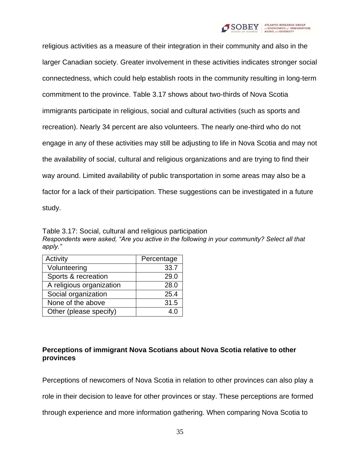

religious activities as a measure of their integration in their community and also in the larger Canadian society. Greater involvement in these activities indicates stronger social connectedness, which could help establish roots in the community resulting in long-term commitment to the province. Table 3.17 shows about two-thirds of Nova Scotia immigrants participate in religious, social and cultural activities (such as sports and recreation). Nearly 34 percent are also volunteers. The nearly one-third who do not engage in any of these activities may still be adjusting to life in Nova Scotia and may not the availability of social, cultural and religious organizations and are trying to find their way around. Limited availability of public transportation in some areas may also be a factor for a lack of their participation. These suggestions can be investigated in a future study.

Table 3.17: Social, cultural and religious participation *Respondents were asked, "Are you active in the following in your community? Select all that apply."*

| Activity                 | Percentage |
|--------------------------|------------|
| Volunteering             | 33.7       |
| Sports & recreation      | 29.0       |
| A religious organization | 28.0       |
| Social organization      | 25.4       |
| None of the above        | 31.5       |
| Other (please specify)   | 4.0        |

# **Perceptions of immigrant Nova Scotians about Nova Scotia relative to other provinces**

Perceptions of newcomers of Nova Scotia in relation to other provinces can also play a role in their decision to leave for other provinces or stay. These perceptions are formed through experience and more information gathering. When comparing Nova Scotia to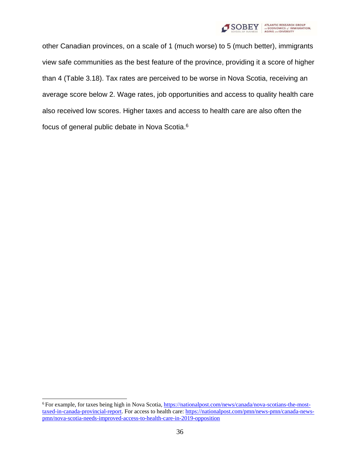

other Canadian provinces, on a scale of 1 (much worse) to 5 (much better), immigrants view safe communities as the best feature of the province, providing it a score of higher than 4 (Table 3.18). Tax rates are perceived to be worse in Nova Scotia, receiving an average score below 2. Wage rates, job opportunities and access to quality health care also received low scores. Higher taxes and access to health care are also often the focus of general public debate in Nova Scotia.<sup>6</sup>

<sup>6</sup> For example, for taxes being high in Nova Scotia, [https://nationalpost.com/news/canada/nova-scotians-the-most](https://nationalpost.com/news/canada/nova-scotians-the-most-taxed-in-canada-provincial-report)[taxed-in-canada-provincial-report. F](https://nationalpost.com/news/canada/nova-scotians-the-most-taxed-in-canada-provincial-report)or access to health care: [https://nationalpost.com/pmn/news-pmn/canada-news](https://nationalpost.com/pmn/news-pmn/canada-news-pmn/nova-scotia-needs-improved-access-to-health-care-in-2019-opposition)[pmn/nova-scotia-needs-improved-access-to-health-care-in-2019-opposition](https://nationalpost.com/pmn/news-pmn/canada-news-pmn/nova-scotia-needs-improved-access-to-health-care-in-2019-opposition)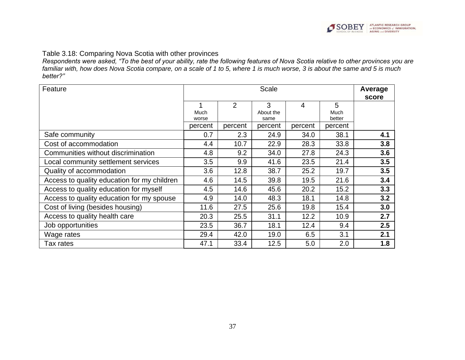

## Table 3.18: Comparing Nova Scotia with other provinces

*Respondents were asked, "To the best of your ability, rate the following features of Nova Scotia relative to other provinces you are familiar with, how does Nova Scotia compare, on a scale of 1 to 5, where 1 is much worse, 3 is about the same and 5 is much better?"*

| Feature                                     | <b>Scale</b>  |                |                        |         | Average<br>score    |     |
|---------------------------------------------|---------------|----------------|------------------------|---------|---------------------|-----|
|                                             | Much<br>worse | $\overline{2}$ | 3<br>About the<br>same | 4       | 5<br>Much<br>better |     |
|                                             | percent       | percent        | percent                | percent | percent             |     |
| Safe community                              | 0.7           | 2.3            | 24.9                   | 34.0    | 38.1                | 4.1 |
| Cost of accommodation                       | 4.4           | 10.7           | 22.9                   | 28.3    | 33.8                | 3.8 |
| Communities without discrimination          | 4.8           | 9.2            | 34.0                   | 27.8    | 24.3                | 3.6 |
| Local community settlement services         | 3.5           | 9.9            | 41.6                   | 23.5    | 21.4                | 3.5 |
| Quality of accommodation                    | 3.6           | 12.8           | 38.7                   | 25.2    | 19.7                | 3.5 |
| Access to quality education for my children | 4.6           | 14.5           | 39.8                   | 19.5    | 21.6                | 3.4 |
| Access to quality education for myself      | 4.5           | 14.6           | 45.6                   | 20.2    | 15.2                | 3.3 |
| Access to quality education for my spouse   | 4.9           | 14.0           | 48.3                   | 18.1    | 14.8                | 3.2 |
| Cost of living (besides housing)            | 11.6          | 27.5           | 25.6                   | 19.8    | 15.4                | 3.0 |
| Access to quality health care               | 20.3          | 25.5           | 31.1                   | 12.2    | 10.9                | 2.7 |
| Job opportunities                           | 23.5          | 36.7           | 18.1                   | 12.4    | 9.4                 | 2.5 |
| Wage rates                                  | 29.4          | 42.0           | 19.0                   | 6.5     | 3.1                 | 2.1 |
| Tax rates                                   | 47.1          | 33.4           | 12.5                   | 5.0     | 2.0                 | 1.8 |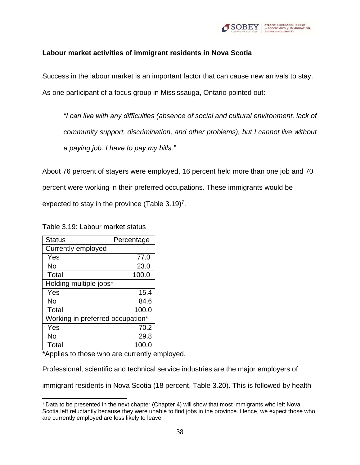

### **Labour market activities of immigrant residents in Nova Scotia**

Success in the labour market is an important factor that can cause new arrivals to stay. As one participant of a focus group in Mississauga, Ontario pointed out:

*"I can live with any difficulties (absence of social and cultural environment, lack of community support, discrimination, and other problems), but I cannot live without a paying job. I have to pay my bills."*

About 76 percent of stayers were employed, 16 percent held more than one job and 70 percent were working in their preferred occupations. These immigrants would be expected to stay in the province (Table  $3.19$ <sup>7</sup>.

Table 3.19: Labour market status

| <b>Status</b>                    | Percentage |  |
|----------------------------------|------------|--|
| Currently employed               |            |  |
| Yes                              | 77.0       |  |
| No                               | 23.0       |  |
| Total                            | 100.0      |  |
| Holding multiple jobs*           |            |  |
| Yes                              | 15.4       |  |
| No                               | 84.6       |  |
| Total                            | 100.0      |  |
| Working in preferred occupation* |            |  |
| Yes                              | 70.2       |  |
| No                               | 29.8       |  |
| Total                            | 100.0      |  |

\*Applies to those who are currently employed.

Professional, scientific and technical service industries are the major employers of

immigrant residents in Nova Scotia (18 percent, Table 3.20). This is followed by health

<sup>7</sup>Data to be presented in the next chapter (Chapter 4) will show that most immigrants who left Nova Scotia left reluctantly because they were unable to find jobs in the province. Hence, we expect those who are currently employed are less likely to leave.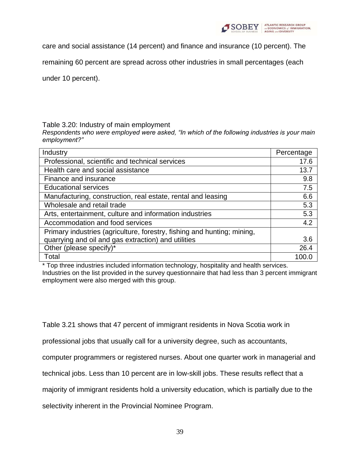

care and social assistance (14 percent) and finance and insurance (10 percent). The

remaining 60 percent are spread across other industries in small percentages (each

under 10 percent).

#### Table 3.20: Industry of main employment

*Respondents who were employed were asked, "In which of the following industries is your main employment?"*

| Industry                                                                | Percentage |
|-------------------------------------------------------------------------|------------|
| Professional, scientific and technical services                         | 17.6       |
| Health care and social assistance                                       | 13.7       |
| Finance and insurance                                                   | 9.8        |
| <b>Educational services</b>                                             | 7.5        |
| Manufacturing, construction, real estate, rental and leasing            | 6.6        |
| Wholesale and retail trade                                              | 5.3        |
| Arts, entertainment, culture and information industries                 | 5.3        |
| Accommodation and food services                                         | 4.2        |
| Primary industries (agriculture, forestry, fishing and hunting; mining, |            |
| quarrying and oil and gas extraction) and utilities                     | 3.6        |
| Other (please specify)*                                                 | 26.4       |
| Total                                                                   | 100.C      |

\* Top three industries included information technology, hospitality and health services. Industries on the list provided in the survey questionnaire that had less than 3 percent immigrant employment were also merged with this group.

Table 3.21 shows that 47 percent of immigrant residents in Nova Scotia work in

professional jobs that usually call for a university degree, such as accountants,

computer programmers or registered nurses. About one quarter work in managerial and

technical jobs. Less than 10 percent are in low-skill jobs. These results reflect that a

majority of immigrant residents hold a university education, which is partially due to the

selectivity inherent in the Provincial Nominee Program.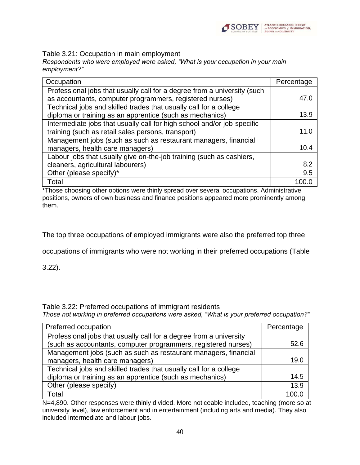

Table 3.21: Occupation in main employment

*Respondents who were employed were asked, "What is your occupation in your main employment?"*

| Occupation                                                               | Percentage |
|--------------------------------------------------------------------------|------------|
| Professional jobs that usually call for a degree from a university (such |            |
| as accountants, computer programmers, registered nurses)                 | 47.0       |
| Technical jobs and skilled trades that usually call for a college        |            |
| diploma or training as an apprentice (such as mechanics)                 | 13.9       |
| Intermediate jobs that usually call for high school and/or job-specific  |            |
| training (such as retail sales persons, transport)                       | 11.0       |
| Management jobs (such as such as restaurant managers, financial          |            |
| managers, health care managers)                                          | 10.4       |
| Labour jobs that usually give on-the-job training (such as cashiers,     |            |
| cleaners, agricultural labourers)                                        | 8.2        |
| Other (please specify)*                                                  | 9.5        |
| Total                                                                    |            |

\*Those choosing other options were thinly spread over several occupations. Administrative positions, owners of own business and finance positions appeared more prominently among them.

The top three occupations of employed immigrants were also the preferred top three

occupations of immigrants who were not working in their preferred occupations (Table

3.22).

Table 3.22: Preferred occupations of immigrant residents

*Those not working in preferred occupations were asked, "What is your preferred occupation?"*

| Preferred occupation                                               | Percentage |
|--------------------------------------------------------------------|------------|
| Professional jobs that usually call for a degree from a university |            |
| (such as accountants, computer programmers, registered nurses)     | 52.6       |
| Management jobs (such as such as restaurant managers, financial    |            |
| managers, health care managers)                                    | 19.0       |
| Technical jobs and skilled trades that usually call for a college  |            |
| diploma or training as an apprentice (such as mechanics)           | 14.5       |
| Other (please specify)                                             | 13.9       |
| Total                                                              | 100 ቦ      |

N=4,890. Other responses were thinly divided. More noticeable included, teaching (more so at university level), law enforcement and in entertainment (including arts and media). They also included intermediate and labour jobs.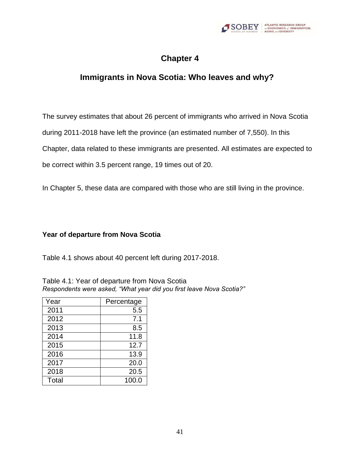

# **Chapter 4**

# **Immigrants in Nova Scotia: Who leaves and why?**

The survey estimates that about 26 percent of immigrants who arrived in Nova Scotia

during 2011-2018 have left the province (an estimated number of 7,550). In this

Chapter, data related to these immigrants are presented. All estimates are expected to

be correct within 3.5 percent range, 19 times out of 20.

In Chapter 5, these data are compared with those who are still living in the province.

## **Year of departure from Nova Scotia**

Table 4.1 shows about 40 percent left during 2017-2018.

| Year  | Percentage |
|-------|------------|
| 2011  | 5.5        |
| 2012  | 7.1        |
| 2013  | 8.5        |
| 2014  | 11.8       |
| 2015  | 12.7       |
| 2016  | 13.9       |
| 2017  | 20.0       |
| 2018  | 20.5       |
| Total | 100.0      |

Table 4.1: Year of departure from Nova Scotia *Respondents were asked, "What year did you first leave Nova Scotia?"*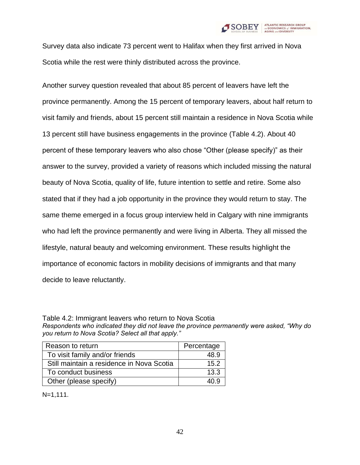

Survey data also indicate 73 percent went to Halifax when they first arrived in Nova Scotia while the rest were thinly distributed across the province.

Another survey question revealed that about 85 percent of leavers have left the province permanently. Among the 15 percent of temporary leavers, about half return to visit family and friends, about 15 percent still maintain a residence in Nova Scotia while 13 percent still have business engagements in the province (Table 4.2). About 40 percent of these temporary leavers who also chose "Other (please specify)" as their answer to the survey, provided a variety of reasons which included missing the natural beauty of Nova Scotia, quality of life, future intention to settle and retire. Some also stated that if they had a job opportunity in the province they would return to stay. The same theme emerged in a focus group interview held in Calgary with nine immigrants who had left the province permanently and were living in Alberta. They all missed the lifestyle, natural beauty and welcoming environment. These results highlight the importance of economic factors in mobility decisions of immigrants and that many decide to leave reluctantly.

Table 4.2: Immigrant leavers who return to Nova Scotia *Respondents who indicated they did not leave the province permanently were asked, "Why do you return to Nova Scotia? Select all that apply."*

| Reason to return                          | Percentage |
|-------------------------------------------|------------|
| To visit family and/or friends            | 48.9       |
| Still maintain a residence in Nova Scotia | 15.2       |
| To conduct business                       | 13.3       |
| Other (please specify)                    | 40 Q       |

N=1,111.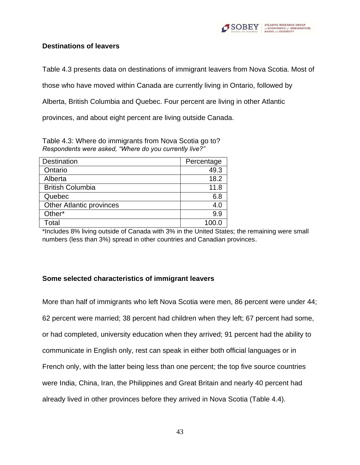

## **Destinations of leavers**

Table 4.3 presents data on destinations of immigrant leavers from Nova Scotia. Most of

those who have moved within Canada are currently living in Ontario, followed by

Alberta, British Columbia and Quebec. Four percent are living in other Atlantic

provinces, and about eight percent are living outside Canada.

Table 4.3: Where do immigrants from Nova Scotia go to? *Respondents were asked, "Where do you currently live?"*

| <b>Destination</b>              | Percentage |
|---------------------------------|------------|
| Ontario                         | 49.3       |
| Alberta                         | 18.2       |
| <b>British Columbia</b>         | 11.8       |
| Quebec                          | 6.8        |
| <b>Other Atlantic provinces</b> | 4.0        |
| Other*                          | 9.9        |
| Total                           | 100.0      |

\*Includes 8% living outside of Canada with 3% in the United States; the remaining were small numbers (less than 3%) spread in other countries and Canadian provinces.

# **Some selected characteristics of immigrant leavers**

More than half of immigrants who left Nova Scotia were men, 86 percent were under 44; 62 percent were married; 38 percent had children when they left; 67 percent had some, or had completed, university education when they arrived; 91 percent had the ability to communicate in English only, rest can speak in either both official languages or in French only, with the latter being less than one percent; the top five source countries were India, China, Iran, the Philippines and Great Britain and nearly 40 percent had already lived in other provinces before they arrived in Nova Scotia (Table 4.4).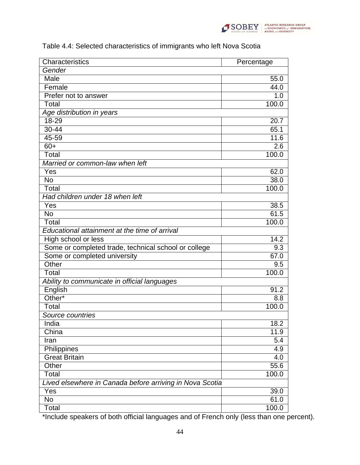

| Characteristics                                          | Percentage |
|----------------------------------------------------------|------------|
| Gender                                                   |            |
| Male                                                     | 55.0       |
| Female                                                   | 44.0       |
| Prefer not to answer                                     | 1.0        |
| Total                                                    | 100.0      |
| Age distribution in years                                |            |
| $18 - 29$                                                | 20.7       |
| $30 - 44$                                                | 65.1       |
| 45-59                                                    | 11.6       |
| $60+$                                                    | 2.6        |
| Total                                                    | 100.0      |
| Married or common-law when left                          |            |
| Yes                                                      | 62.0       |
| <b>No</b>                                                | 38.0       |
| Total                                                    | 100.0      |
| Had children under 18 when left                          |            |
| Yes                                                      | 38.5       |
| <b>No</b>                                                | 61.5       |
| Total                                                    | 100.0      |
| Educational attainment at the time of arrival            |            |
| High school or less                                      | 14.2       |
| Some or completed trade, technical school or college     | 9.3        |
| Some or completed university                             | 67.0       |
| Other                                                    | 9.5        |
| Total                                                    | 100.0      |
| Ability to communicate in official languages             |            |
| English                                                  | 91.2       |
| Other*                                                   | 8.8        |
| Total                                                    | 100.0      |
| Source countries                                         |            |
| India                                                    | 18.2       |
| China                                                    | 11.9       |
| Iran                                                     | 5.4        |
| Philippines                                              | 4.9        |
| <b>Great Britain</b>                                     | 4.0        |
| Other                                                    | 55.6       |
| Total                                                    | 100.0      |
| Lived elsewhere in Canada before arriving in Nova Scotia |            |
| Yes                                                      | 39.0       |
| <b>No</b>                                                | 61.0       |
| Total                                                    | 100.0      |

# Table 4.4: Selected characteristics of immigrants who left Nova Scotia

\*Include speakers of both official languages and of French only (less than one percent).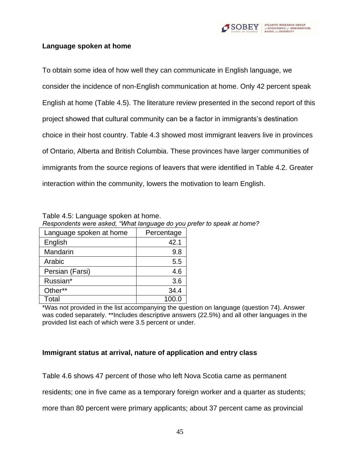

## **Language spoken at home**

To obtain some idea of how well they can communicate in English language, we consider the incidence of non-English communication at home. Only 42 percent speak English at home (Table 4.5). The literature review presented in the second report of this project showed that cultural community can be a factor in immigrants's destination choice in their host country. Table 4.3 showed most immigrant leavers live in provinces of Ontario, Alberta and British Columbia. These provinces have larger communities of immigrants from the source regions of leavers that were identified in Table 4.2. Greater interaction within the community, lowers the motivation to learn English.

| Respondents were asked, "What language do you |            |  |
|-----------------------------------------------|------------|--|
| Language spoken at home                       | Percentage |  |
| English                                       | 42.1       |  |
| Mandarin                                      | 9.8        |  |
| Arabic                                        | 5.5        |  |
| Persian (Farsi)                               | 4.6        |  |
| Russian*                                      | 3.6        |  |
| Other**                                       | 34.4       |  |
| Total                                         | 100.0      |  |

Table 4.5: Language spoken at home. *Respondents were asked, "What language do you prefer to speak at home?*

\*Was not provided in the list accompanying the question on language (question 74). Answer was coded separately. \*\*Includes descriptive answers (22.5%) and all other languages in the provided list each of which were 3.5 percent or under.

### **Immigrant status at arrival, nature of application and entry class**

Table 4.6 shows 47 percent of those who left Nova Scotia came as permanent

residents; one in five came as a temporary foreign worker and a quarter as students;

more than 80 percent were primary applicants; about 37 percent came as provincial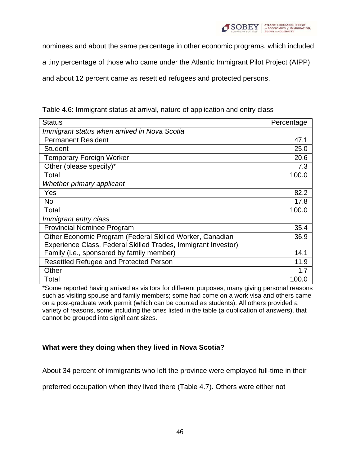

nominees and about the same percentage in other economic programs, which included

a tiny percentage of those who came under the Atlantic Immigrant Pilot Project (AIPP)

and about 12 percent came as resettled refugees and protected persons.

| <b>Status</b>                                                 | Percentage |
|---------------------------------------------------------------|------------|
| Immigrant status when arrived in Nova Scotia                  |            |
| <b>Permanent Resident</b>                                     | 47.1       |
| <b>Student</b>                                                | 25.0       |
| <b>Temporary Foreign Worker</b>                               | 20.6       |
| Other (please specify)*                                       | 7.3        |
| Total                                                         | 100.0      |
| Whether primary applicant                                     |            |
| Yes                                                           | 82.2       |
| <b>No</b>                                                     | 17.8       |
| Total                                                         | 100.0      |
| Immigrant entry class                                         |            |
| <b>Provincial Nominee Program</b>                             | 35.4       |
| Other Economic Program (Federal Skilled Worker, Canadian      | 36.9       |
| Experience Class, Federal Skilled Trades, Immigrant Investor) |            |
| Family (i.e., sponsored by family member)                     | 14.1       |
| Resettled Refugee and Protected Person                        | 11.9       |
| Other                                                         | 17         |
| Total                                                         | 100.0      |

Table 4.6: Immigrant status at arrival, nature of application and entry class

\*Some reported having arrived as visitors for different purposes, many giving personal reasons such as visiting spouse and family members; some had come on a work visa and others came on a post-graduate work permit (which can be counted as students). All others provided a variety of reasons, some including the ones listed in the table (a duplication of answers), that cannot be grouped into significant sizes.

# **What were they doing when they lived in Nova Scotia?**

About 34 percent of immigrants who left the province were employed full-time in their

preferred occupation when they lived there (Table 4.7). Others were either not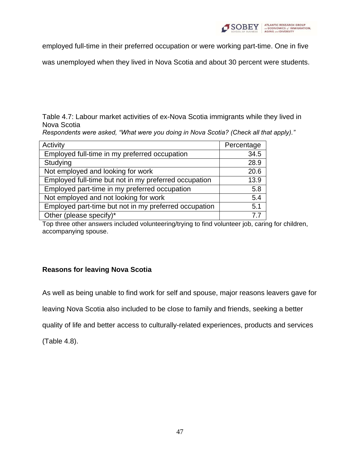

employed full-time in their preferred occupation or were working part-time. One in five

was unemployed when they lived in Nova Scotia and about 30 percent were students.

## Table 4.7: Labour market activities of ex-Nova Scotia immigrants while they lived in Nova Scotia

*Respondents were asked, "What were you doing in Nova Scotia? (Check all that apply)."*

| Activity                                              | Percentage |
|-------------------------------------------------------|------------|
| Employed full-time in my preferred occupation         | 34.5       |
| Studying                                              | 28.9       |
| Not employed and looking for work                     | 20.6       |
| Employed full-time but not in my preferred occupation | 13.9       |
| Employed part-time in my preferred occupation         | 5.8        |
| Not employed and not looking for work                 | 5.4        |
| Employed part-time but not in my preferred occupation | 5.1        |
| Other (please specify)*                               |            |

Top three other answers included volunteering/trying to find volunteer job, caring for children, accompanying spouse.

# **Reasons for leaving Nova Scotia**

As well as being unable to find work for self and spouse, major reasons leavers gave for

leaving Nova Scotia also included to be close to family and friends, seeking a better

quality of life and better access to culturally-related experiences, products and services

(Table 4.8).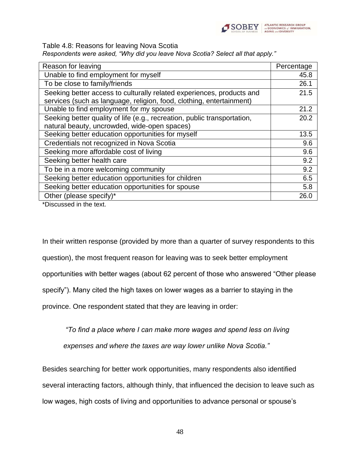

Table 4.8: Reasons for leaving Nova Scotia

*Respondents were asked, "Why did you leave Nova Scotia? Select all that apply."*

| Reason for leaving                                                       | Percentage |
|--------------------------------------------------------------------------|------------|
| Unable to find employment for myself                                     | 45.8       |
| To be close to family/friends                                            | 26.1       |
| Seeking better access to culturally related experiences, products and    | 21.5       |
| services (such as language, religion, food, clothing, entertainment)     |            |
| Unable to find employment for my spouse                                  | 21.2       |
| Seeking better quality of life (e.g., recreation, public transportation, | 20.2       |
| natural beauty, uncrowded, wide-open spaces)                             |            |
| Seeking better education opportunities for myself                        | 13.5       |
| Credentials not recognized in Nova Scotia                                | 9.6        |
| Seeking more affordable cost of living                                   | 9.6        |
| Seeking better health care                                               | 9.2        |
| To be in a more welcoming community                                      | 9.2        |
| Seeking better education opportunities for children                      | 6.5        |
| Seeking better education opportunities for spouse                        | 5.8        |
| Other (please specify)*                                                  | 26.0       |

\*Discussed in the text.

In their written response (provided by more than a quarter of survey respondents to this question), the most frequent reason for leaving was to seek better employment opportunities with better wages (about 62 percent of those who answered "Other please specify"). Many cited the high taxes on lower wages as a barrier to staying in the province. One respondent stated that they are leaving in order:

*"To find a place where I can make more wages and spend less on living* 

*expenses and where the taxes are way lower unlike Nova Scotia."*

Besides searching for better work opportunities, many respondents also identified several interacting factors, although thinly, that influenced the decision to leave such as low wages, high costs of living and opportunities to advance personal or spouse's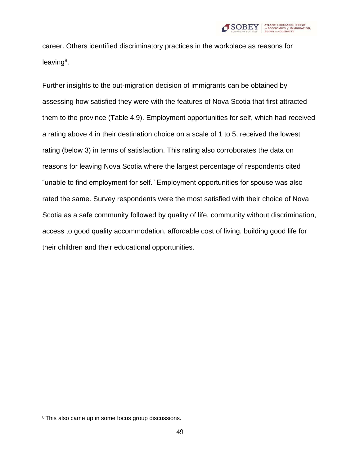

career. Others identified discriminatory practices in the workplace as reasons for leaving<sup>8</sup>.

Further insights to the out-migration decision of immigrants can be obtained by assessing how satisfied they were with the features of Nova Scotia that first attracted them to the province (Table 4.9). Employment opportunities for self, which had received a rating above 4 in their destination choice on a scale of 1 to 5, received the lowest rating (below 3) in terms of satisfaction. This rating also corroborates the data on reasons for leaving Nova Scotia where the largest percentage of respondents cited "unable to find employment for self." Employment opportunities for spouse was also rated the same. Survey respondents were the most satisfied with their choice of Nova Scotia as a safe community followed by quality of life, community without discrimination, access to good quality accommodation, affordable cost of living, building good life for their children and their educational opportunities.

<sup>8</sup> This also came up in some focus group discussions.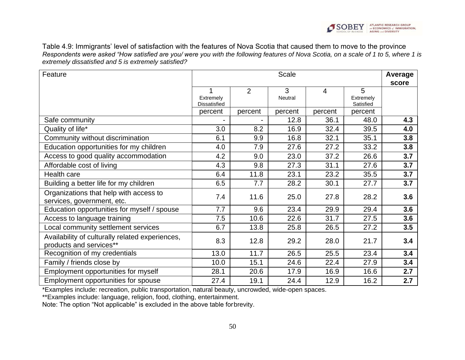Table 4.9: Immigrants' level of satisfaction with the features of Nova Scotia that caused them to move to the province *Respondents were asked "How satisfied are you/ were you with the following features of Nova Scotia, on a scale of 1 to 5, where 1 is extremely dissatisfied and 5 is extremely satisfied?*

| Feature                                                                    | <b>Scale</b>                     |                |              |         | Average<br>score            |     |
|----------------------------------------------------------------------------|----------------------------------|----------------|--------------|---------|-----------------------------|-----|
|                                                                            | Extremely<br><b>Dissatisfied</b> | $\overline{2}$ | 3<br>Neutral | 4       | 5<br>Extremely<br>Satisfied |     |
|                                                                            | percent                          | percent        | percent      | percent | percent                     |     |
| Safe community                                                             |                                  |                | 12.8         | 36.1    | 48.0                        | 4.3 |
| Quality of life*                                                           | 3.0                              | 8.2            | 16.9         | 32.4    | 39.5                        | 4.0 |
| Community without discrimination                                           | 6.1                              | 9.9            | 16.8         | 32.1    | 35.1                        | 3.8 |
| Education opportunities for my children                                    | 4.0                              | 7.9            | 27.6         | 27.2    | 33.2                        | 3.8 |
| Access to good quality accommodation                                       | 4.2                              | 9.0            | 23.0         | 37.2    | 26.6                        | 3.7 |
| Affordable cost of living                                                  | 4.3                              | 9.8            | 27.3         | 31.1    | 27.6                        | 3.7 |
| Health care                                                                | 6.4                              | 11.8           | 23.1         | 23.2    | 35.5                        | 3.7 |
| Building a better life for my children                                     | 6.5                              | 7.7            | 28.2         | 30.1    | 27.7                        | 3.7 |
| Organizations that help with access to<br>services, government, etc.       | 7.4                              | 11.6           | 25.0         | 27.8    | 28.2                        | 3.6 |
| Education opportunities for myself / spouse                                | 7.7                              | 9.6            | 23.4         | 29.9    | 29.4                        | 3.6 |
| Access to language training                                                | 7.5                              | 10.6           | 22.6         | 31.7    | 27.5                        | 3.6 |
| Local community settlement services                                        | 6.7                              | 13.8           | 25.8         | 26.5    | 27.2                        | 3.5 |
| Availability of culturally related experiences,<br>products and services** | 8.3                              | 12.8           | 29.2         | 28.0    | 21.7                        | 3.4 |
| Recognition of my credentials                                              | 13.0                             | 11.7           | 26.5         | 25.5    | 23.4                        | 3.4 |
| Family / friends close by                                                  | 10.0                             | 15.1           | 24.6         | 22.4    | 27.9                        | 3.4 |
| Employment opportunities for myself                                        | 28.1                             | 20.6           | 17.9         | 16.9    | 16.6                        | 2.7 |
| Employment opportunities for spouse                                        | 27.4                             | 19.1           | 24.4         | 12.9    | 16.2                        | 2.7 |

\*Examples include: recreation, public transportation, natural beauty, uncrowded, wide-open spaces.

\*\*Examples include: language, religion, food, clothing, entertainment.

Note: The option "Not applicable" is excluded in the above table forbrevity.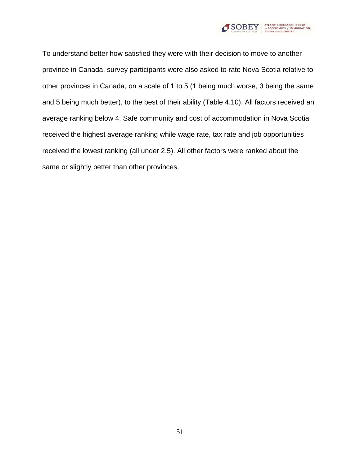

To understand better how satisfied they were with their decision to move to another province in Canada, survey participants were also asked to rate Nova Scotia relative to other provinces in Canada, on a scale of 1 to 5 (1 being much worse, 3 being the same and 5 being much better), to the best of their ability (Table 4.10). All factors received an average ranking below 4. Safe community and cost of accommodation in Nova Scotia received the highest average ranking while wage rate, tax rate and job opportunities received the lowest ranking (all under 2.5). All other factors were ranked about the same or slightly better than other provinces.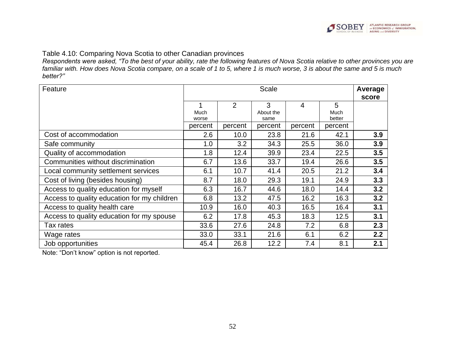

#### Table 4.10: Comparing Nova Scotia to other Canadian provinces

*Respondents were asked, "To the best of your ability, rate the following features of Nova Scotia relative to other provinces you are familiar with. How does Nova Scotia compare, on a scale of 1 to 5, where 1 is much worse, 3 is about the same and 5 is much better?"*

| Feature                                     | <b>Scale</b>  |         |                   |         | Average<br>score |     |
|---------------------------------------------|---------------|---------|-------------------|---------|------------------|-----|
|                                             |               | 2       | 3                 | 4       | 5                |     |
|                                             | Much<br>worse |         | About the<br>same |         | Much<br>better   |     |
|                                             | percent       | percent | percent           | percent | percent          |     |
| Cost of accommodation                       | 2.6           | 10.0    | 23.8              | 21.6    | 42.1             | 3.9 |
| Safe community                              | 1.0           | 3.2     | 34.3              | 25.5    | 36.0             | 3.9 |
| Quality of accommodation                    | 1.8           | 12.4    | 39.9              | 23.4    | 22.5             | 3.5 |
| Communities without discrimination          | 6.7           | 13.6    | 33.7              | 19.4    | 26.6             | 3.5 |
| Local community settlement services         | 6.1           | 10.7    | 41.4              | 20.5    | 21.2             | 3.4 |
| Cost of living (besides housing)            | 8.7           | 18.0    | 29.3              | 19.1    | 24.9             | 3.3 |
| Access to quality education for myself      | 6.3           | 16.7    | 44.6              | 18.0    | 14.4             | 3.2 |
| Access to quality education for my children | 6.8           | 13.2    | 47.5              | 16.2    | 16.3             | 3.2 |
| Access to quality health care               | 10.9          | 16.0    | 40.3              | 16.5    | 16.4             | 3.1 |
| Access to quality education for my spouse   | 6.2           | 17.8    | 45.3              | 18.3    | 12.5             | 3.1 |
| Tax rates                                   | 33.6          | 27.6    | 24.8              | 7.2     | 6.8              | 2.3 |
| Wage rates                                  | 33.0          | 33.1    | 21.6              | 6.1     | 6.2              | 2.2 |
| Job opportunities                           | 45.4          | 26.8    | 12.2              | 7.4     | 8.1              | 2.1 |

Note: "Don't know" option is not reported.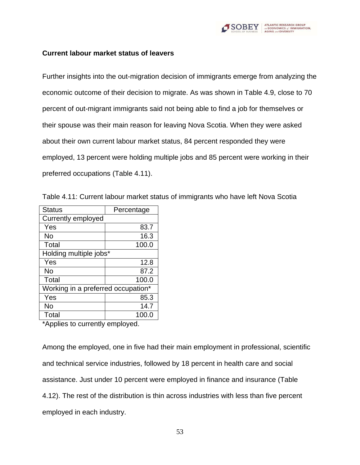

#### **Current labour market status of leavers**

Further insights into the out-migration decision of immigrants emerge from analyzing the economic outcome of their decision to migrate. As was shown in Table 4.9, close to 70 percent of out-migrant immigrants said not being able to find a job for themselves or their spouse was their main reason for leaving Nova Scotia. When they were asked about their own current labour market status, 84 percent responded they were employed, 13 percent were holding multiple jobs and 85 percent were working in their preferred occupations (Table 4.11).

Table 4.11: Current labour market status of immigrants who have left Nova Scotia

| <b>Status</b>                      | Percentage |  |  |
|------------------------------------|------------|--|--|
| Currently employed                 |            |  |  |
| Yes                                | 83.7       |  |  |
| No                                 | 16.3       |  |  |
| Total                              | 100.0      |  |  |
| Holding multiple jobs*             |            |  |  |
| Yes                                | 12.8       |  |  |
| No                                 | 87.2       |  |  |
| Total                              | 100.0      |  |  |
| Working in a preferred occupation* |            |  |  |
| Yes                                | 85.3       |  |  |
| No                                 | 14.7       |  |  |
| Total                              | 100.0      |  |  |

\*Applies to currently employed.

Among the employed, one in five had their main employment in professional, scientific and technical service industries, followed by 18 percent in health care and social assistance. Just under 10 percent were employed in finance and insurance (Table 4.12). The rest of the distribution is thin across industries with less than five percent employed in each industry.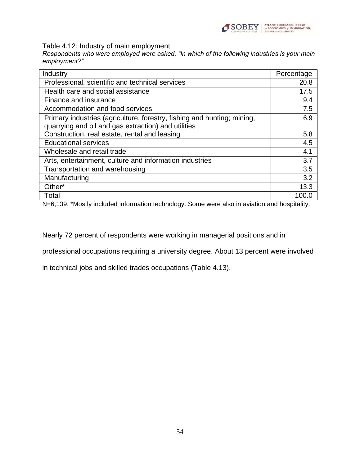

Table 4.12: Industry of main employment

*Respondents who were employed were asked, "In which of the following industries is your main employment?"*

| Industry                                                                | Percentage |
|-------------------------------------------------------------------------|------------|
| Professional, scientific and technical services                         | 20.8       |
| Health care and social assistance                                       | 17.5       |
| Finance and insurance                                                   | 9.4        |
| Accommodation and food services                                         | 7.5        |
| Primary industries (agriculture, forestry, fishing and hunting; mining, | 6.9        |
| quarrying and oil and gas extraction) and utilities                     |            |
| Construction, real estate, rental and leasing                           | 5.8        |
| <b>Educational services</b>                                             | 4.5        |
| Wholesale and retail trade                                              | 4.1        |
| Arts, entertainment, culture and information industries                 | 3.7        |
| Transportation and warehousing                                          | 3.5        |
| Manufacturing                                                           | 3.2        |
| Other*                                                                  | 13.3       |
| Total                                                                   | 100.0      |

N=6,139. \*Mostly included information technology. Some were also in aviation and hospitality.

Nearly 72 percent of respondents were working in managerial positions and in

professional occupations requiring a university degree. About 13 percent were involved

in technical jobs and skilled trades occupations (Table 4.13).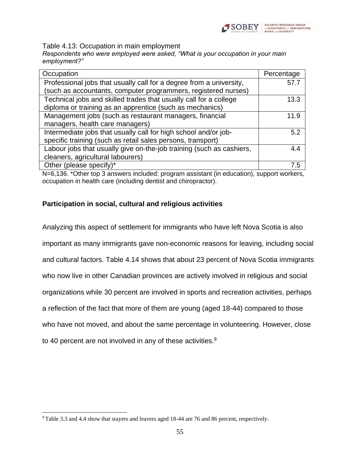

Table 4.13: Occupation in main employment

*Respondents who were employed were asked, "What is your occupation in your main employment?"*

| Occupation                                                           | Percentage |
|----------------------------------------------------------------------|------------|
| Professional jobs that usually call for a degree from a university,  | 57.7       |
| (such as accountants, computer programmers, registered nurses)       |            |
| Technical jobs and skilled trades that usually call for a college    | 13.3       |
| diploma or training as an apprentice (such as mechanics)             |            |
| Management jobs (such as restaurant managers, financial              | 11.9       |
| managers, health care managers)                                      |            |
| Intermediate jobs that usually call for high school and/or job-      | 5.2        |
| specific training (such as retail sales persons, transport)          |            |
| Labour jobs that usually give on-the-job training (such as cashiers, | 4.4        |
| cleaners, agricultural labourers)                                    |            |
| Other (please specify)*                                              | 75         |
|                                                                      |            |

N=6,136. \*Other top 3 answers included: program assistant (in education), support workers, occupation in health care (including dentist and chiropractor).

### **Participation in social, cultural and religious activities**

Analyzing this aspect of settlement for immigrants who have left Nova Scotia is also important as many immigrants gave non-economic reasons for leaving, including social and cultural factors. Table 4.14 shows that about 23 percent of Nova Scotia immigrants who now live in other Canadian provinces are actively involved in religious and social organizations while 30 percent are involved in sports and recreation activities, perhaps a reflection of the fact that more of them are young (aged 18-44) compared to those who have not moved, and about the same percentage in volunteering. However, close to 40 percent are not involved in any of these activities.<sup>9</sup>

<sup>9</sup> Table 3.3 and 4.4 show that stayers and leavers aged 18-44 are 76 and 86 percent, respectively.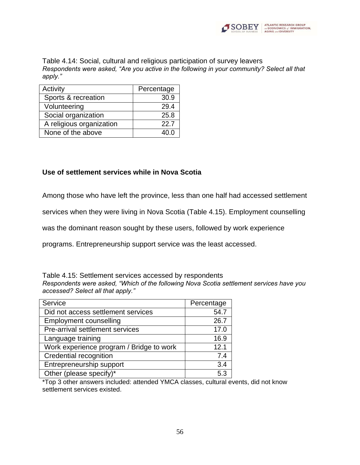

Table 4.14: Social, cultural and religious participation of survey leavers *Respondents were asked, "Are you active in the following in your community? Select all that apply."*

| Activity                 | Percentage |
|--------------------------|------------|
| Sports & recreation      | 30.9       |
| Volunteering             | 29.4       |
| Social organization      | 25.8       |
| A religious organization | 22.7       |
| None of the above        | 4በ በ       |

#### **Use of settlement services while in Nova Scotia**

Among those who have left the province, less than one half had accessed settlement

services when they were living in Nova Scotia (Table 4.15). Employment counselling

was the dominant reason sought by these users, followed by work experience

programs. Entrepreneurship support service was the least accessed.

Table 4.15: Settlement services accessed by respondents *Respondents were asked, "Which of the following Nova Scotia settlement services have you accessed? Select all that apply."*

| Service                                  | Percentage |
|------------------------------------------|------------|
| Did not access settlement services       | 54.7       |
| <b>Employment counselling</b>            | 26.7       |
| Pre-arrival settlement services          | 17.0       |
| Language training                        | 16.9       |
| Work experience program / Bridge to work | 12.1       |
| Credential recognition                   | 7.4        |
| Entrepreneurship support                 | 3.4        |
| Other (please specify)*                  | 5.3        |

\*Top 3 other answers included: attended YMCA classes, cultural events, did not know settlement services existed.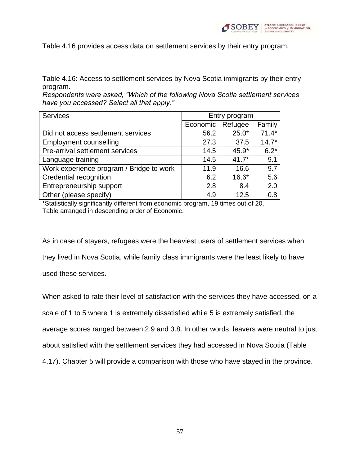

Table 4.16 provides access data on settlement services by their entry program.

Table 4.16: Access to settlement services by Nova Scotia immigrants by their entry program.

*Respondents were asked, "Which of the following Nova Scotia settlement services have you accessed? Select all that apply."*

| <b>Services</b>                          | Entry program |         |         |
|------------------------------------------|---------------|---------|---------|
|                                          | Economic      | Refugee | Family  |
| Did not access settlement services       | 56.2          | $25.0*$ | $71.4*$ |
| <b>Employment counselling</b>            | 27.3          | 37.5    | $14.7*$ |
| Pre-arrival settlement services          | 14.5          | $45.9*$ | $6.2*$  |
| Language training                        | 14.5          | $41.7*$ | 9.1     |
| Work experience program / Bridge to work | 11.9          | 16.6    | 9.7     |
| Credential recognition                   | 6.2           | $16.6*$ | 5.6     |
| Entrepreneurship support                 | 2.8           | 8.4     | 2.0     |
| Other (please specify)                   | 4.9           | 12.5    | 0.8     |

\*Statistically significantly different from economic program, 19 times out of 20. Table arranged in descending order of Economic.

As in case of stayers, refugees were the heaviest users of settlement services when they lived in Nova Scotia, while family class immigrants were the least likely to have used these services.

When asked to rate their level of satisfaction with the services they have accessed, on a scale of 1 to 5 where 1 is extremely dissatisfied while 5 is extremely satisfied, the average scores ranged between 2.9 and 3.8. In other words, leavers were neutral to just about satisfied with the settlement services they had accessed in Nova Scotia (Table 4.17). Chapter 5 will provide a comparison with those who have stayed in the province.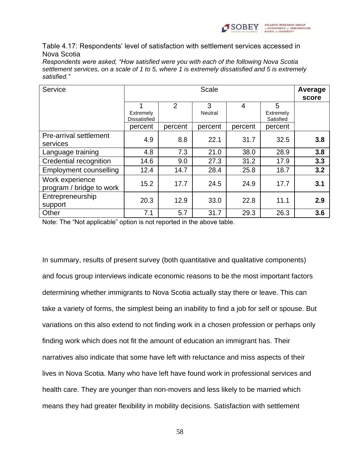

Table 4.17: Respondents' level of satisfaction with settlement services accessed in Nova Scotia

*Respondents were asked, "How satisfied were you with each of the following Nova Scotia settlement services, on a scale of 1 to 5, where 1 is extremely dissatisfied and 5 is extremely satisfied."*

| Service                                     | <b>Scale</b>                          |         |              |         | Average<br>score            |     |
|---------------------------------------------|---------------------------------------|---------|--------------|---------|-----------------------------|-----|
|                                             | 1<br>Extremely<br><b>Dissatisfied</b> | 2       | 3<br>Neutral | 4       | 5<br>Extremely<br>Satisfied |     |
|                                             | percent                               | percent | percent      | percent | percent                     |     |
| <b>Pre-arrival settlement</b><br>services   | 4.9                                   | 8.8     | 22.1         | 31.7    | 32.5                        | 3.8 |
| Language training                           | 4.8                                   | 7.3     | 21.0         | 38.0    | 28.9                        | 3.8 |
| Credential recognition                      | 14.6                                  | 9.0     | 27.3         | 31.2    | 17.9                        | 3.3 |
| <b>Employment counselling</b>               | 12.4                                  | 14.7    | 28.4         | 25.8    | 18.7                        | 3.2 |
| Work experience<br>program / bridge to work | 15.2                                  | 17.7    | 24.5         | 24.9    | 17.7                        | 3.1 |
| Entrepreneurship<br>support                 | 20.3                                  | 12.9    | 33.0         | 22.8    | 11.1                        | 2.9 |
| Other                                       | 7.1                                   | 5.7     | 31.7         | 29.3    | 26.3                        | 3.6 |

Note: The "Not applicable" option is not reported in the above table.

In summary, results of present survey (both quantitative and qualitative components) and focus group interviews indicate economic reasons to be the most important factors determining whether immigrants to Nova Scotia actually stay there or leave. This can take a variety of forms, the simplest being an inability to find a job for self or spouse. But variations on this also extend to not finding work in a chosen profession or perhaps only finding work which does not fit the amount of education an immigrant has. Their narratives also indicate that some have left with reluctance and miss aspects of their lives in Nova Scotia. Many who have left have found work in professional services and health care. They are younger than non-movers and less likely to be married which means they had greater flexibility in mobility decisions. Satisfaction with settlement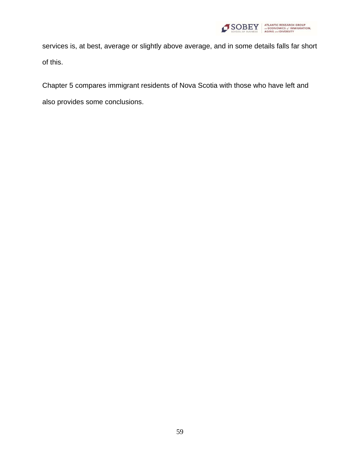

services is, at best, average or slightly above average, and in some details falls far short of this.

Chapter 5 compares immigrant residents of Nova Scotia with those who have left and also provides some conclusions.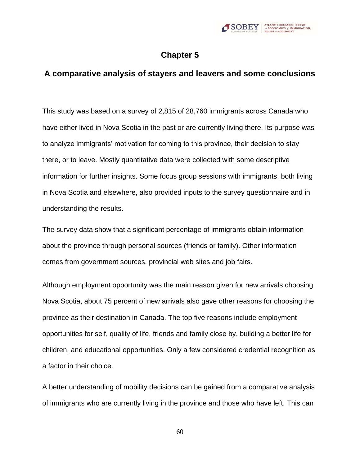

# **Chapter 5**

# **A comparative analysis of stayers and leavers and some conclusions**

This study was based on a survey of 2,815 of 28,760 immigrants across Canada who have either lived in Nova Scotia in the past or are currently living there. Its purpose was to analyze immigrants' motivation for coming to this province, their decision to stay there, or to leave. Mostly quantitative data were collected with some descriptive information for further insights. Some focus group sessions with immigrants, both living in Nova Scotia and elsewhere, also provided inputs to the survey questionnaire and in understanding the results.

The survey data show that a significant percentage of immigrants obtain information about the province through personal sources (friends or family). Other information comes from government sources, provincial web sites and job fairs.

Although employment opportunity was the main reason given for new arrivals choosing Nova Scotia, about 75 percent of new arrivals also gave other reasons for choosing the province as their destination in Canada. The top five reasons include employment opportunities for self, quality of life, friends and family close by, building a better life for children, and educational opportunities. Only a few considered credential recognition as a factor in their choice.

A better understanding of mobility decisions can be gained from a comparative analysis of immigrants who are currently living in the province and those who have left. This can

60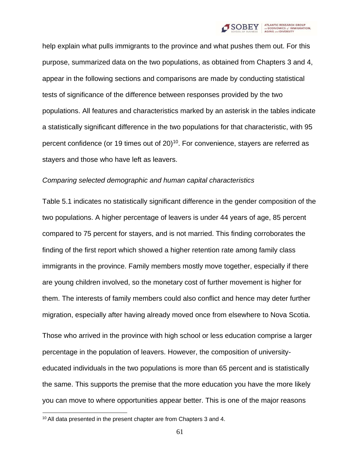

help explain what pulls immigrants to the province and what pushes them out. For this purpose, summarized data on the two populations, as obtained from Chapters 3 and 4, appear in the following sections and comparisons are made by conducting statistical tests of significance of the difference between responses provided by the two populations. All features and characteristics marked by an asterisk in the tables indicate a statistically significant difference in the two populations for that characteristic, with 95 percent confidence (or 19 times out of  $20$ )<sup>10</sup>. For convenience, stayers are referred as stayers and those who have left as leavers.

#### *Comparing selected demographic and human capital characteristics*

Table 5.1 indicates no statistically significant difference in the gender composition of the two populations. A higher percentage of leavers is under 44 years of age, 85 percent compared to 75 percent for stayers, and is not married. This finding corroborates the finding of the first report which showed a higher retention rate among family class immigrants in the province. Family members mostly move together, especially if there are young children involved, so the monetary cost of further movement is higher for them. The interests of family members could also conflict and hence may deter further migration, especially after having already moved once from elsewhere to Nova Scotia.

Those who arrived in the province with high school or less education comprise a larger percentage in the population of leavers. However, the composition of universityeducated individuals in the two populations is more than 65 percent and is statistically the same. This supports the premise that the more education you have the more likely you can move to where opportunities appear better. This is one of the major reasons

<sup>10</sup> All data presented in the present chapter are from Chapters 3 and 4.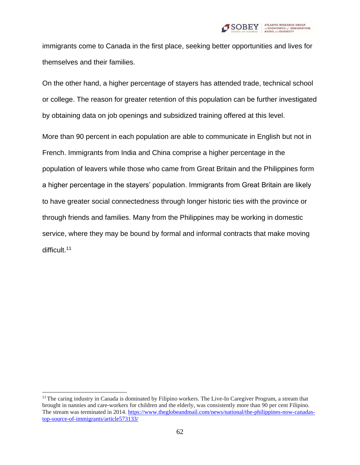

immigrants come to Canada in the first place, seeking better opportunities and lives for themselves and their families.

On the other hand, a higher percentage of stayers has attended trade, technical school or college. The reason for greater retention of this population can be further investigated by obtaining data on job openings and subsidized training offered at this level.

More than 90 percent in each population are able to communicate in English but not in French. Immigrants from India and China comprise a higher percentage in the population of leavers while those who came from Great Britain and the Philippines form a higher percentage in the stayers' population. Immigrants from Great Britain are likely to have greater social connectedness through longer historic ties with the province or through friends and families. Many from the Philippines may be working in domestic service, where they may be bound by formal and informal contracts that make moving difficult.<sup>11</sup>

<sup>&</sup>lt;sup>11</sup> The caring industry in Canada is dominated by Filipino workers. The Live-In Caregiver Program, a stream that brought in nannies and care-workers for children and the elderly, was consistently more than 90 per cent Filipino. The stream was terminated in 2014. [https://www.theglobeandmail.com/news/national/the-philippines-now-canadas](https://www.theglobeandmail.com/news/national/the-philippines-now-canadas-top-source-of-immigrants/article573133/)[top-source-of-immigrants/article573133/](https://www.theglobeandmail.com/news/national/the-philippines-now-canadas-top-source-of-immigrants/article573133/)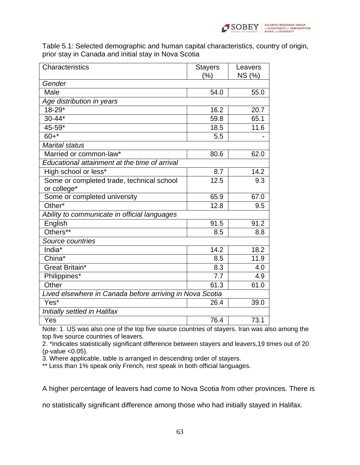

Table 5.1: Selected demographic and human capital characteristics, country of origin, prior stay in Canada and initial stay in Nova Scotia

| Characteristics                                          | <b>Stayers</b><br>(%) | Leavers<br>NS (%) |  |  |
|----------------------------------------------------------|-----------------------|-------------------|--|--|
| Gender                                                   |                       |                   |  |  |
| Male                                                     | 54.0                  | 55.0              |  |  |
| Age distribution in years                                |                       |                   |  |  |
| $18 - 29*$                                               | 16.2                  | 20.7              |  |  |
| $30 - 44*$                                               | 59.8                  | 65.1              |  |  |
| $45 - 59*$                                               | 18.5                  | 11.6              |  |  |
| $60 +$ *                                                 | 5.5                   |                   |  |  |
| <b>Marital status</b>                                    |                       |                   |  |  |
| Married or common-law*                                   | 80.6                  | 62.0              |  |  |
| Educational attainment at the time of arrival            |                       |                   |  |  |
| High school or less*                                     | 8.7                   | 14.2              |  |  |
| Some or completed trade, technical school                | 12.5                  | 9.3               |  |  |
| or college*                                              |                       |                   |  |  |
| Some or completed university                             | 65.9                  | 67.0              |  |  |
| Other*                                                   | 12.8                  | 9.5               |  |  |
| Ability to communicate in official languages             |                       |                   |  |  |
| English                                                  | 91.5                  | 91.2              |  |  |
| Others**                                                 | 8.5                   | 8.8               |  |  |
| Source countries                                         |                       |                   |  |  |
| India*                                                   | 14.2                  | 18.2              |  |  |
| China <sup>*</sup>                                       | 8.5                   | 11.9              |  |  |
| Great Britain*                                           | 8.3                   | 4.0               |  |  |
| Philippines*                                             | 7.7                   | 4.9               |  |  |
| Other                                                    | 61.3                  | 61.0              |  |  |
| Lived elsewhere in Canada before arriving in Nova Scotia |                       |                   |  |  |
| Yes*                                                     | 26.4                  | 39.0              |  |  |
| Initially settled in Halifax                             |                       |                   |  |  |
| Yes                                                      | 76.4                  | 73.1              |  |  |

Note: 1. US was also one of the top five source countries of stayers. Iran was also among the top five source countries of leavers.

2. \*Indicates statistically significant difference between stayers and leavers,19 times out of 20 (p-value <0.05).

3. Where applicable, table is arranged in descending order of stayers.

\*\* Less than 1% speak only French, rest speak in both official languages.

A higher percentage of leavers had come to Nova Scotia from other provinces. There is

no statistically significant difference among those who had initially stayed in Halifax.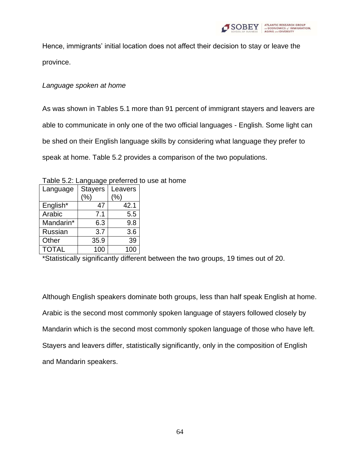

Hence, immigrants' initial location does not affect their decision to stay or leave the province.

## *Language spoken at home*

As was shown in Tables 5.1 more than 91 percent of immigrant stayers and leavers are able to communicate in only one of the two official languages - English. Some light can be shed on their English language skills by considering what language they prefer to speak at home. Table 5.2 provides a comparison of the two populations.

Table 5.2: Language preferred to use at home

| Language     | <b>Stayers</b> | Leavers |
|--------------|----------------|---------|
|              | $(\% )$        | (%)     |
| English*     | 47             | 42.1    |
| Arabic       | 7.1            | 5.5     |
| Mandarin*    | 6.3            | 9.8     |
| Russian      | 3.7            | 3.6     |
| Other        | 35.9           | 39      |
| <b>TOTAL</b> | 100            | 100     |

\*Statistically significantly different between the two groups, 19 times out of 20.

Although English speakers dominate both groups, less than half speak English at home. Arabic is the second most commonly spoken language of stayers followed closely by Mandarin which is the second most commonly spoken language of those who have left. Stayers and leavers differ, statistically significantly, only in the composition of English and Mandarin speakers.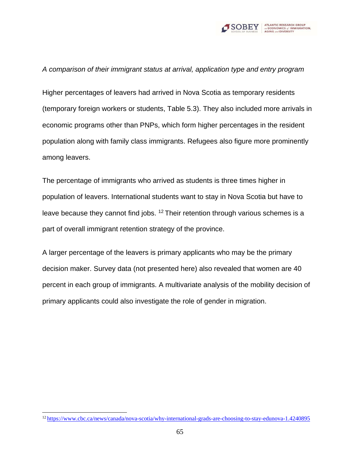

*A comparison of their immigrant status at arrival, application type and entry program*

Higher percentages of leavers had arrived in Nova Scotia as temporary residents (temporary foreign workers or students, Table 5.3). They also included more arrivals in economic programs other than PNPs, which form higher percentages in the resident population along with family class immigrants. Refugees also figure more prominently among leavers.

The percentage of immigrants who arrived as students is three times higher in population of leavers. International students want to stay in Nova Scotia but have to leave because they cannot find jobs.  $12$  Their retention through various schemes is a part of overall immigrant retention strategy of the province.

A larger percentage of the leavers is primary applicants who may be the primary decision maker. Survey data (not presented here) also revealed that women are 40 percent in each group of immigrants. A multivariate analysis of the mobility decision of primary applicants could also investigate the role of gender in migration.

<sup>12</sup> <https://www.cbc.ca/news/canada/nova-scotia/why-international-grads-are-choosing-to-stay-edunova-1.4240895>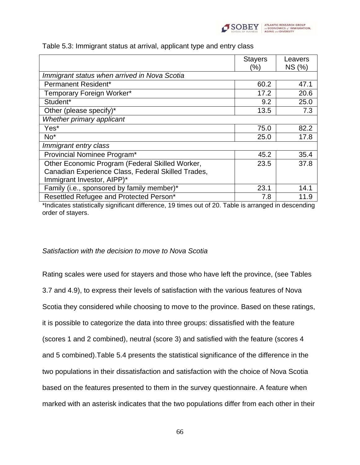

|                                                    | <b>Stayers</b><br>(%) | Leavers<br>NS (%) |
|----------------------------------------------------|-----------------------|-------------------|
| Immigrant status when arrived in Nova Scotia       |                       |                   |
| Permanent Resident*                                | 60.2                  | 47.1              |
| Temporary Foreign Worker*                          | 17.2                  | 20.6              |
| Student*                                           | 9.2                   | 25.0              |
| Other (please specify)*                            | 13.5                  | 7.3               |
| Whether primary applicant                          |                       |                   |
| Yes*                                               | 75.0                  | 82.2              |
| $No*$                                              | 25.0                  | 17.8              |
| Immigrant entry class                              |                       |                   |
| Provincial Nominee Program*                        | 45.2                  | 35.4              |
| Other Economic Program (Federal Skilled Worker,    | 23.5                  | 37.8              |
| Canadian Experience Class, Federal Skilled Trades, |                       |                   |
| Immigrant Investor, AIPP)*                         |                       |                   |
| Family (i.e., sponsored by family member)*         | 23.1                  | 14.1              |
| Resettled Refugee and Protected Person*            | 7.8                   | 11.9              |

Table 5.3: Immigrant status at arrival, applicant type and entry class

\*Indicates statistically significant difference, 19 times out of 20. Table is arranged in descending order of stayers.

#### *Satisfaction with the decision to move to Nova Scotia*

Rating scales were used for stayers and those who have left the province, (see Tables 3.7 and 4.9), to express their levels of satisfaction with the various features of Nova Scotia they considered while choosing to move to the province. Based on these ratings, it is possible to categorize the data into three groups: dissatisfied with the feature (scores 1 and 2 combined), neutral (score 3) and satisfied with the feature (scores 4 and 5 combined).Table 5.4 presents the statistical significance of the difference in the two populations in their dissatisfaction and satisfaction with the choice of Nova Scotia based on the features presented to them in the survey questionnaire. A feature when marked with an asterisk indicates that the two populations differ from each other in their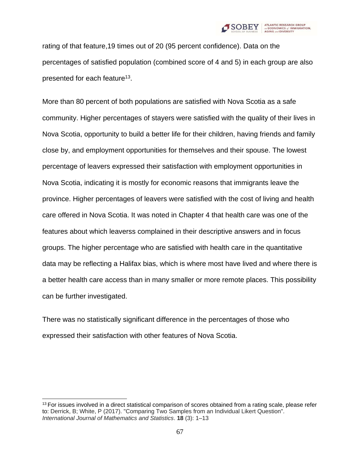

rating of that feature,19 times out of 20 (95 percent confidence). Data on the percentages of satisfied population (combined score of 4 and 5) in each group are also presented for each feature<sup>13</sup>.

More than 80 percent of both populations are satisfied with Nova Scotia as a safe community. Higher percentages of stayers were satisfied with the quality of their lives in Nova Scotia, opportunity to build a better life for their children, having friends and family close by, and employment opportunities for themselves and their spouse. The lowest percentage of leavers expressed their satisfaction with employment opportunities in Nova Scotia, indicating it is mostly for economic reasons that immigrants leave the province. Higher percentages of leavers were satisfied with the cost of living and health care offered in Nova Scotia. It was noted in Chapter 4 that health care was one of the features about which leaverss complained in their descriptive answers and in focus groups. The higher percentage who are satisfied with health care in the quantitative data may be reflecting a Halifax bias, which is where most have lived and where there is a better health care access than in many smaller or more remote places. This possibility can be further investigated.

There was no statistically significant difference in the percentages of those who expressed their satisfaction with other features of Nova Scotia.

<sup>&</sup>lt;sup>13</sup> For issues involved in a direct statistical comparison of scores obtained from a rating scale, please refer to: Derrick, B; White, P (2017). "Comparing Two Samples from an Individual Likert Question". *International Journal of Mathematics and Statistics*. **18** (3): 1–13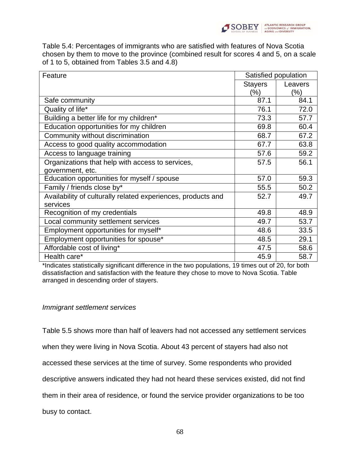

Table 5.4: Percentages of immigrants who are satisfied with features of Nova Scotia chosen by them to move to the province (combined result for scores 4 and 5, on a scale of 1 to 5, obtained from Tables 3.5 and 4.8)

| Feature                                                      | Satisfied population |         |
|--------------------------------------------------------------|----------------------|---------|
|                                                              | <b>Stayers</b>       | Leavers |
|                                                              | (%)                  | (%)     |
| Safe community                                               | 87.1                 | 84.1    |
| Quality of life*                                             | 76.1                 | 72.0    |
| Building a better life for my children*                      | 73.3                 | 57.7    |
| Education opportunities for my children                      | 69.8                 | 60.4    |
| Community without discrimination                             | 68.7                 | 67.2    |
| Access to good quality accommodation                         | 67.7                 | 63.8    |
| Access to language training                                  | 57.6                 | 59.2    |
| Organizations that help with access to services,             | 57.5                 | 56.1    |
| government, etc.                                             |                      |         |
| Education opportunities for myself / spouse                  | 57.0                 | 59.3    |
| Family / friends close by*                                   | 55.5                 | 50.2    |
| Availability of culturally related experiences, products and | 52.7                 | 49.7    |
| services                                                     |                      |         |
| Recognition of my credentials                                | 49.8                 | 48.9    |
| Local community settlement services                          | 49.7                 | 53.7    |
| Employment opportunities for myself*                         | 48.6                 | 33.5    |
| Employment opportunities for spouse*                         | 48.5                 | 29.1    |
| Affordable cost of living*                                   | 47.5                 | 58.6    |
| Health care*                                                 | 45.9                 | 58.7    |

\*Indicates statistically significant difference in the two populations, 19 times out of 20, for both dissatisfaction and satisfaction with the feature they chose to move to Nova Scotia. Table arranged in descending order of stayers.

#### *Immigrant settlement services*

Table 5.5 shows more than half of leavers had not accessed any settlement services

when they were living in Nova Scotia. About 43 percent of stayers had also not

accessed these services at the time of survey. Some respondents who provided

descriptive answers indicated they had not heard these services existed, did not find

them in their area of residence, or found the service provider organizations to be too

busy to contact.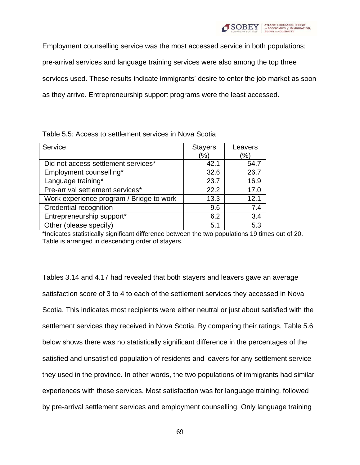

Employment counselling service was the most accessed service in both populations; pre-arrival services and language training services were also among the top three services used. These results indicate immigrants' desire to enter the job market as soon as they arrive. Entrepreneurship support programs were the least accessed.

| Service                                  | <b>Stayers</b><br>(% | Leavers<br>(%) |
|------------------------------------------|----------------------|----------------|
| Did not access settlement services*      | 42.1                 | 54.7           |
| Employment counselling*                  | 32.6                 | 26.7           |
| Language training*                       | 23.7                 | 16.9           |
| Pre-arrival settlement services*         | 22.2                 | 17.0           |
| Work experience program / Bridge to work | 13.3                 | 12.1           |
| Credential recognition                   | 9.6                  | 7.4            |
| Entrepreneurship support*                | 6.2                  | 3.4            |
| Other (please specify)                   | 5.1                  | 5.3            |

Table 5.5: Access to settlement services in Nova Scotia

\*Indicates statistically significant difference between the two populations 19 times out of 20. Table is arranged in descending order of stayers.

Tables 3.14 and 4.17 had revealed that both stayers and leavers gave an average satisfaction score of 3 to 4 to each of the settlement services they accessed in Nova Scotia. This indicates most recipients were either neutral or just about satisfied with the settlement services they received in Nova Scotia. By comparing their ratings, Table 5.6 below shows there was no statistically significant difference in the percentages of the satisfied and unsatisfied population of residents and leavers for any settlement service they used in the province. In other words, the two populations of immigrants had similar experiences with these services. Most satisfaction was for language training, followed by pre-arrival settlement services and employment counselling. Only language training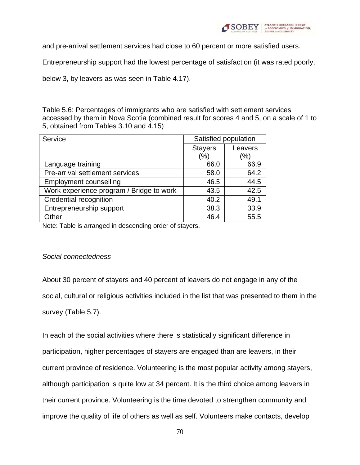

and pre-arrival settlement services had close to 60 percent or more satisfied users.

Entrepreneurship support had the lowest percentage of satisfaction (it was rated poorly,

below 3, by leavers as was seen in Table 4.17).

Table 5.6: Percentages of immigrants who are satisfied with settlement services accessed by them in Nova Scotia (combined result for scores 4 and 5, on a scale of 1 to 5, obtained from Tables 3.10 and 4.15)

| Service                                  | Satisfied population      |      |
|------------------------------------------|---------------------------|------|
|                                          | <b>Stayers</b><br>Leavers |      |
|                                          | (%)                       | '%)  |
| Language training                        | 66.0                      | 66.9 |
| Pre-arrival settlement services          | 58.0                      | 64.2 |
| <b>Employment counselling</b>            | 46.5                      | 44.5 |
| Work experience program / Bridge to work | 43.5                      | 42.5 |
| Credential recognition                   | 40.2                      | 49.1 |
| Entrepreneurship support                 | 38.3                      | 33.9 |
| Other                                    | 46.4                      | 55.5 |

Note: Table is arranged in descending order of stayers.

#### *Social connectedness*

About 30 percent of stayers and 40 percent of leavers do not engage in any of the social, cultural or religious activities included in the list that was presented to them in the survey (Table 5.7).

In each of the social activities where there is statistically significant difference in participation, higher percentages of stayers are engaged than are leavers, in their current province of residence. Volunteering is the most popular activity among stayers, although participation is quite low at 34 percent. It is the third choice among leavers in their current province. Volunteering is the time devoted to strengthen community and improve the quality of life of others as well as self. Volunteers make contacts, develop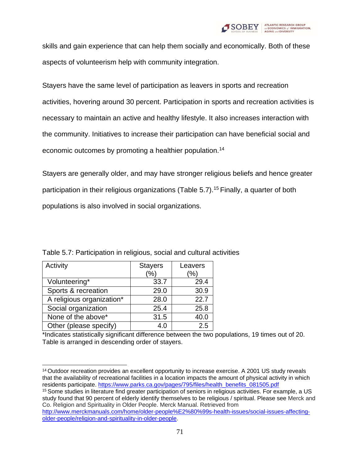

skills and gain experience that can help them socially and economically. Both of these aspects of volunteerism help with community integration.

Stayers have the same level of participation as leavers in sports and recreation activities, hovering around 30 percent. Participation in sports and recreation activities is necessary to maintain an active and healthy lifestyle. It also increases interaction with the community. Initiatives to increase their participation can have beneficial social and economic outcomes by promoting a healthier population.<sup>14</sup>

Stayers are generally older, and may have stronger religious beliefs and hence greater participation in their religious organizations (Table 5.7).<sup>15</sup> Finally, a quarter of both populations is also involved in social organizations.

| Activity                  | <b>Stayers</b><br>$\%$ | Leavers<br>$\%$ |
|---------------------------|------------------------|-----------------|
| Volunteering*             | 33.7                   | 29.4            |
| Sports & recreation       | 29.0                   | 30.9            |
| A religious organization* | 28.0                   | 22.7            |
| Social organization       | 25.4                   | 25.8            |
| None of the above*        | 31.5                   | 40.0            |
| Other (please specify)    | 4.0                    | 2.5             |

Table 5.7: Participation in religious, social and cultural activities

\*Indicates statistically significant difference between the two populations, 19 times out of 20. Table is arranged in descending order of stayers.

<sup>&</sup>lt;sup>14</sup> Outdoor recreation provides an excellent opportunity to increase exercise. A 2001 US study reveals that the availability of recreational facilities in a location impacts the amount of physical activity in which residents participate. [https://www.parks.ca.gov/pages/795/files/health\\_benefits\\_081505.pdf](https://www.parks.ca.gov/pages/795/files/health_benefits_081505.pdf)

<sup>&</sup>lt;sup>15</sup> Some studies in literature find greater participation of seniors in religious activities. For example, a US study found that 90 percent of elderly identify themselves to be religious / spiritual. Please see Merck and Co. Religion and Spirituality in Older People. Merck Manual. Retrieved from

[http://www.merckmanuals.com/home/older-people%E2%80%99s-health-issues/social-issues-affecting](http://www.merckmanuals.com/home/older-people%E2%80%99s-health-issues/social-issues-affecting-older-people/religion-and-spirituality-in-older-people)[older-people/religion-and-spirituality-in-older-people.](http://www.merckmanuals.com/home/older-people%E2%80%99s-health-issues/social-issues-affecting-older-people/religion-and-spirituality-in-older-people)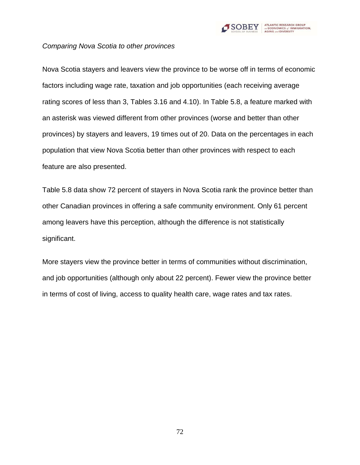

#### *Comparing Nova Scotia to other provinces*

Nova Scotia stayers and leavers view the province to be worse off in terms of economic factors including wage rate, taxation and job opportunities (each receiving average rating scores of less than 3, Tables 3.16 and 4.10). In Table 5.8, a feature marked with an asterisk was viewed different from other provinces (worse and better than other provinces) by stayers and leavers, 19 times out of 20. Data on the percentages in each population that view Nova Scotia better than other provinces with respect to each feature are also presented.

Table 5.8 data show 72 percent of stayers in Nova Scotia rank the province better than other Canadian provinces in offering a safe community environment. Only 61 percent among leavers have this perception, although the difference is not statistically significant.

More stayers view the province better in terms of communities without discrimination, and job opportunities (although only about 22 percent). Fewer view the province better in terms of cost of living, access to quality health care, wage rates and tax rates.

72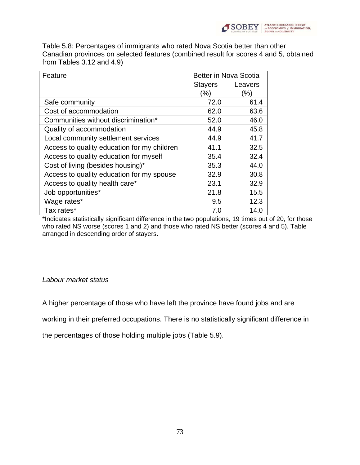

Table 5.8: Percentages of immigrants who rated Nova Scotia better than other Canadian provinces on selected features (combined result for scores 4 and 5, obtained from Tables 3.12 and 4.9)

| Feature                                     | Better in Nova Scotia |         |
|---------------------------------------------|-----------------------|---------|
|                                             | <b>Stayers</b>        | Leavers |
|                                             | $(\% )$               | (%)     |
| Safe community                              | 72.0                  | 61.4    |
| Cost of accommodation                       | 62.0                  | 63.6    |
| Communities without discrimination*         | 52.0                  | 46.0    |
| Quality of accommodation                    | 44.9                  | 45.8    |
| Local community settlement services         | 44.9                  | 41.7    |
| Access to quality education for my children | 41.1                  | 32.5    |
| Access to quality education for myself      | 35.4                  | 32.4    |
| Cost of living (besides housing)*           | 35.3                  | 44.0    |
| Access to quality education for my spouse   | 32.9                  | 30.8    |
| Access to quality health care*              | 23.1                  | 32.9    |
| Job opportunities*                          | 21.8                  | 15.5    |
| Wage rates*                                 | 9.5                   | 12.3    |
| Tax rates*                                  | 7.0                   | 14.0    |

\*Indicates statistically significant difference in the two populations, 19 times out of 20, for those who rated NS worse (scores 1 and 2) and those who rated NS better (scores 4 and 5). Table arranged in descending order of stayers.

#### *Labour market status*

A higher percentage of those who have left the province have found jobs and are

working in their preferred occupations. There is no statistically significant difference in

the percentages of those holding multiple jobs (Table 5.9).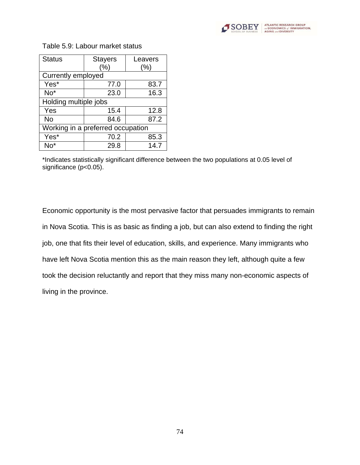

| <b>Status</b>             | <b>Stayers</b>                    | Leavers |  |
|---------------------------|-----------------------------------|---------|--|
|                           | (%)                               | $(\% )$ |  |
| <b>Currently employed</b> |                                   |         |  |
| Yes*                      | 77.0                              | 83.7    |  |
| $No*$                     | 23.0                              | 16.3    |  |
| Holding multiple jobs     |                                   |         |  |
| Yes                       | 15.4                              | 12.8    |  |
| No                        | 84.6                              | 87.2    |  |
|                           | Working in a preferred occupation |         |  |
| Yes*                      | 70.2                              | 85.3    |  |
| $No*$                     | 29.8                              | 14.7    |  |

Table 5.9: Labour market status

\*Indicates statistically significant difference between the two populations at 0.05 level of significance (p<0.05).

Economic opportunity is the most pervasive factor that persuades immigrants to remain in Nova Scotia. This is as basic as finding a job, but can also extend to finding the right job, one that fits their level of education, skills, and experience. Many immigrants who have left Nova Scotia mention this as the main reason they left, although quite a few took the decision reluctantly and report that they miss many non-economic aspects of living in the province.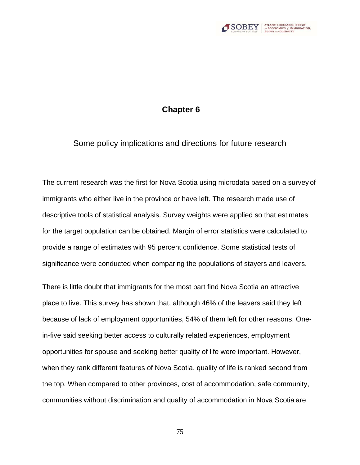

## **Chapter 6**

Some policy implications and directions for future research

The current research was the first for Nova Scotia using microdata based on a survey of immigrants who either live in the province or have left. The research made use of descriptive tools of statistical analysis. Survey weights were applied so that estimates for the target population can be obtained. Margin of error statistics were calculated to provide a range of estimates with 95 percent confidence. Some statistical tests of significance were conducted when comparing the populations of stayers and leavers.

There is little doubt that immigrants for the most part find Nova Scotia an attractive place to live. This survey has shown that, although 46% of the leavers said they left because of lack of employment opportunities, 54% of them left for other reasons. Onein-five said seeking better access to culturally related experiences, employment opportunities for spouse and seeking better quality of life were important. However, when they rank different features of Nova Scotia, quality of life is ranked second from the top. When compared to other provinces, cost of accommodation, safe community, communities without discrimination and quality of accommodation in Nova Scotia are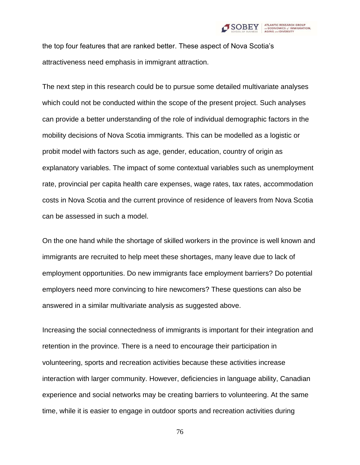

the top four features that are ranked better. These aspect of Nova Scotia's attractiveness need emphasis in immigrant attraction.

The next step in this research could be to pursue some detailed multivariate analyses which could not be conducted within the scope of the present project. Such analyses can provide a better understanding of the role of individual demographic factors in the mobility decisions of Nova Scotia immigrants. This can be modelled as a logistic or probit model with factors such as age, gender, education, country of origin as explanatory variables. The impact of some contextual variables such as unemployment rate, provincial per capita health care expenses, wage rates, tax rates, accommodation costs in Nova Scotia and the current province of residence of leavers from Nova Scotia can be assessed in such a model.

On the one hand while the shortage of skilled workers in the province is well known and immigrants are recruited to help meet these shortages, many leave due to lack of employment opportunities. Do new immigrants face employment barriers? Do potential employers need more convincing to hire newcomers? These questions can also be answered in a similar multivariate analysis as suggested above.

Increasing the social connectedness of immigrants is important for their integration and retention in the province. There is a need to encourage their participation in volunteering, sports and recreation activities because these activities increase interaction with larger community. However, deficiencies in language ability, Canadian experience and social networks may be creating barriers to volunteering. At the same time, while it is easier to engage in outdoor sports and recreation activities during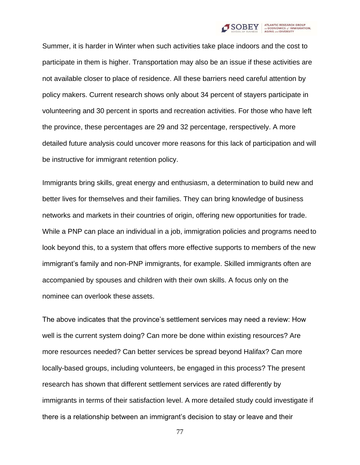

Summer, it is harder in Winter when such activities take place indoors and the cost to participate in them is higher. Transportation may also be an issue if these activities are not available closer to place of residence. All these barriers need careful attention by policy makers. Current research shows only about 34 percent of stayers participate in volunteering and 30 percent in sports and recreation activities. For those who have left the province, these percentages are 29 and 32 percentage, rerspectively. A more detailed future analysis could uncover more reasons for this lack of participation and will be instructive for immigrant retention policy.

Immigrants bring skills, great energy and enthusiasm, a determination to build new and better lives for themselves and their families. They can bring knowledge of business networks and markets in their countries of origin, offering new opportunities for trade. While a PNP can place an individual in a job, immigration policies and programs need to look beyond this, to a system that offers more effective supports to members of the new immigrant's family and non-PNP immigrants, for example. Skilled immigrants often are accompanied by spouses and children with their own skills. A focus only on the nominee can overlook these assets.

The above indicates that the province's settlement services may need a review: How well is the current system doing? Can more be done within existing resources? Are more resources needed? Can better services be spread beyond Halifax? Can more locally-based groups, including volunteers, be engaged in this process? The present research has shown that different settlement services are rated differently by immigrants in terms of their satisfaction level. A more detailed study could investigate if there is a relationship between an immigrant's decision to stay or leave and their

77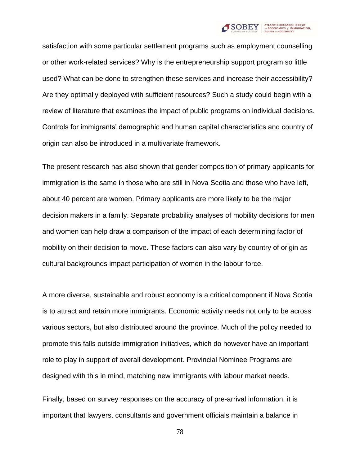

satisfaction with some particular settlement programs such as employment counselling or other work-related services? Why is the entrepreneurship support program so little used? What can be done to strengthen these services and increase their accessibility? Are they optimally deployed with sufficient resources? Such a study could begin with a review of literature that examines the impact of public programs on individual decisions. Controls for immigrants' demographic and human capital characteristics and country of origin can also be introduced in a multivariate framework.

The present research has also shown that gender composition of primary applicants for immigration is the same in those who are still in Nova Scotia and those who have left, about 40 percent are women. Primary applicants are more likely to be the major decision makers in a family. Separate probability analyses of mobility decisions for men and women can help draw a comparison of the impact of each determining factor of mobility on their decision to move. These factors can also vary by country of origin as cultural backgrounds impact participation of women in the labour force.

A more diverse, sustainable and robust economy is a critical component if Nova Scotia is to attract and retain more immigrants. Economic activity needs not only to be across various sectors, but also distributed around the province. Much of the policy needed to promote this falls outside immigration initiatives, which do however have an important role to play in support of overall development. Provincial Nominee Programs are designed with this in mind, matching new immigrants with labour market needs.

Finally, based on survey responses on the accuracy of pre-arrival information, it is important that lawyers, consultants and government officials maintain a balance in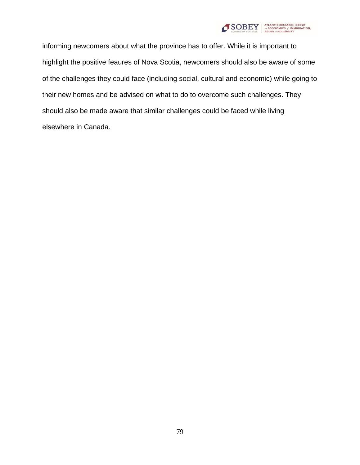

informing newcomers about what the province has to offer. While it is important to highlight the positive feaures of Nova Scotia, newcomers should also be aware of some of the challenges they could face (including social, cultural and economic) while going to their new homes and be advised on what to do to overcome such challenges. They should also be made aware that similar challenges could be faced while living elsewhere in Canada.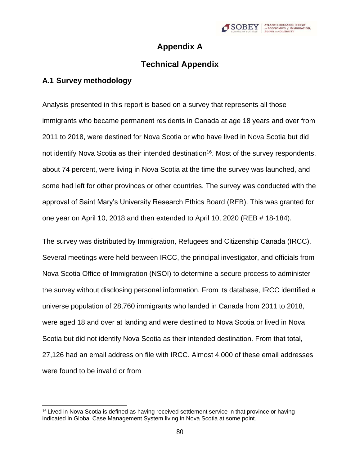

## **Appendix A**

# **Technical Appendix**

## **A.1 Survey methodology**

Analysis presented in this report is based on a survey that represents all those immigrants who became permanent residents in Canada at age 18 years and over from 2011 to 2018, were destined for Nova Scotia or who have lived in Nova Scotia but did not identify Nova Scotia as their intended destination<sup>16</sup>. Most of the survey respondents, about 74 percent, were living in Nova Scotia at the time the survey was launched, and some had left for other provinces or other countries. The survey was conducted with the approval of Saint Mary's University Research Ethics Board (REB). This was granted for one year on April 10, 2018 and then extended to April 10, 2020 (REB # 18-184).

The survey was distributed by Immigration, Refugees and Citizenship Canada (IRCC). Several meetings were held between IRCC, the principal investigator, and officials from Nova Scotia Office of Immigration (NSOI) to determine a secure process to administer the survey without disclosing personal information. From its database, IRCC identified a universe population of 28,760 immigrants who landed in Canada from 2011 to 2018, were aged 18 and over at landing and were destined to Nova Scotia or lived in Nova Scotia but did not identify Nova Scotia as their intended destination. From that total, 27,126 had an email address on file with IRCC. Almost 4,000 of these email addresses were found to be invalid or from

<sup>&</sup>lt;sup>16</sup> Lived in Nova Scotia is defined as having received settlement service in that province or having indicated in Global Case Management System living in Nova Scotia at some point.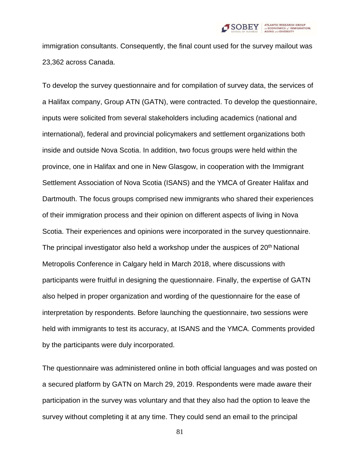

immigration consultants. Consequently, the final count used for the survey mailout was 23,362 across Canada.

To develop the survey questionnaire and for compilation of survey data, the services of a Halifax company, Group ATN (GATN), were contracted. To develop the questionnaire, inputs were solicited from several stakeholders including academics (national and international), federal and provincial policymakers and settlement organizations both inside and outside Nova Scotia. In addition, two focus groups were held within the province, one in Halifax and one in New Glasgow, in cooperation with the Immigrant Settlement Association of Nova Scotia (ISANS) and the YMCA of Greater Halifax and Dartmouth. The focus groups comprised new immigrants who shared their experiences of their immigration process and their opinion on different aspects of living in Nova Scotia. Their experiences and opinions were incorporated in the survey questionnaire. The principal investigator also held a workshop under the auspices of  $20<sup>th</sup>$  National Metropolis Conference in Calgary held in March 2018, where discussions with participants were fruitful in designing the questionnaire. Finally, the expertise of GATN also helped in proper organization and wording of the questionnaire for the ease of interpretation by respondents. Before launching the questionnaire, two sessions were held with immigrants to test its accuracy, at ISANS and the YMCA. Comments provided by the participants were duly incorporated.

The questionnaire was administered online in both official languages and was posted on a secured platform by GATN on March 29, 2019. Respondents were made aware their participation in the survey was voluntary and that they also had the option to leave the survey without completing it at any time. They could send an email to the principal

81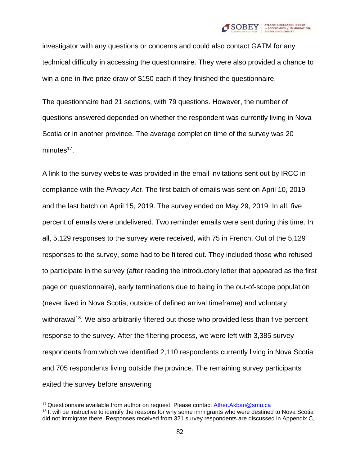

investigator with any questions or concerns and could also contact GATM for any technical difficulty in accessing the questionnaire. They were also provided a chance to win a one-in-five prize draw of \$150 each if they finished the questionnaire.

The questionnaire had 21 sections, with 79 questions. However, the number of questions answered depended on whether the respondent was currently living in Nova Scotia or in another province. The average completion time of the survey was 20 minutes<sup>17</sup>.

A link to the survey website was provided in the email invitations sent out by IRCC in compliance with the *Privacy Act.* The first batch of emails was sent on April 10, 2019 and the last batch on April 15, 2019. The survey ended on May 29, 2019. In all, five percent of emails were undelivered. Two reminder emails were sent during this time. In all, 5,129 responses to the survey were received, with 75 in French. Out of the 5,129 responses to the survey, some had to be filtered out. They included those who refused to participate in the survey (after reading the introductory letter that appeared as the first page on questionnaire), early terminations due to being in the out-of-scope population (never lived in Nova Scotia, outside of defined arrival timeframe) and voluntary withdrawal<sup>18</sup>. We also arbitrarily filtered out those who provided less than five percent response to the survey. After the filtering process, we were left with 3,385 survey respondents from which we identified 2,110 respondents currently living in Nova Scotia and 705 respondents living outside the province. The remaining survey participants exited the survey before answering

<sup>&</sup>lt;sup>17</sup> Questionnaire available from author on request. Please contact [Ather.Akbari@smu.ca](mailto:Ather.Akbari@smu.ca) <sup>18</sup> It will be instructive to identify the reasons for why some immigrants who were destined to Nova Scotia did not immigrate there. Responses received from 321 survey respondents are discussed in Appendix C.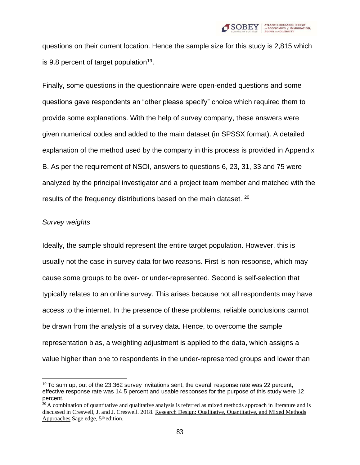

questions on their current location. Hence the sample size for this study is 2,815 which is 9.8 percent of target population<sup>19</sup>.

Finally, some questions in the questionnaire were open-ended questions and some questions gave respondents an "other please specify" choice which required them to provide some explanations. With the help of survey company, these answers were given numerical codes and added to the main dataset (in SPSSX format). A detailed explanation of the method used by the company in this process is provided in Appendix B. As per the requirement of NSOI, answers to questions 6, 23, 31, 33 and 75 were analyzed by the principal investigator and a project team member and matched with the results of the frequency distributions based on the main dataset. <sup>20</sup>

#### *Survey weights*

Ideally, the sample should represent the entire target population. However, this is usually not the case in survey data for two reasons. First is non-response, which may cause some groups to be over- or under-represented. Second is self-selection that typically relates to an online survey. This arises because not all respondents may have access to the internet. In the presence of these problems, reliable conclusions cannot be drawn from the analysis of a survey data. Hence, to overcome the sample representation bias, a weighting adjustment is applied to the data, which assigns a value higher than one to respondents in the under-represented groups and lower than

 $19$  To sum up, out of the 23,362 survey invitations sent, the overall response rate was 22 percent, effective response rate was 14.5 percent and usable responses for the purpose of this study were 12 percent.

 $20$  A combination of quantitative and qualitative analysis is referred as mixed methods approach in literature and is discussed in Creswell, J. and J. Creswell. 2018. Research Design: Qualitative, Quantitative, and Mixed Methods Approaches Sage edge,  $5<sup>th</sup>$  edition.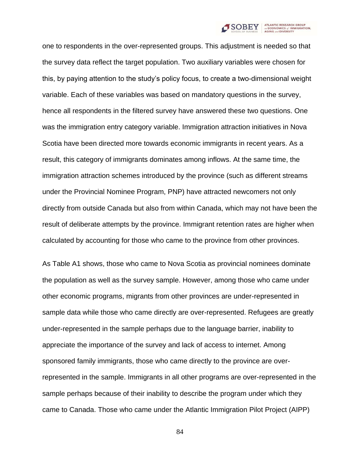

one to respondents in the over-represented groups. This adjustment is needed so that the survey data reflect the target population. Two auxiliary variables were chosen for this, by paying attention to the study's policy focus, to create a two-dimensional weight variable. Each of these variables was based on mandatory questions in the survey, hence all respondents in the filtered survey have answered these two questions. One was the immigration entry category variable. Immigration attraction initiatives in Nova Scotia have been directed more towards economic immigrants in recent years. As a result, this category of immigrants dominates among inflows. At the same time, the immigration attraction schemes introduced by the province (such as different streams under the Provincial Nominee Program, PNP) have attracted newcomers not only directly from outside Canada but also from within Canada, which may not have been the result of deliberate attempts by the province. Immigrant retention rates are higher when calculated by accounting for those who came to the province from other provinces.

As Table A1 shows, those who came to Nova Scotia as provincial nominees dominate the population as well as the survey sample. However, among those who came under other economic programs, migrants from other provinces are under-represented in sample data while those who came directly are over-represented. Refugees are greatly under-represented in the sample perhaps due to the language barrier, inability to appreciate the importance of the survey and lack of access to internet. Among sponsored family immigrants, those who came directly to the province are overrepresented in the sample. Immigrants in all other programs are over-represented in the sample perhaps because of their inability to describe the program under which they came to Canada. Those who came under the Atlantic Immigration Pilot Project (AIPP)

84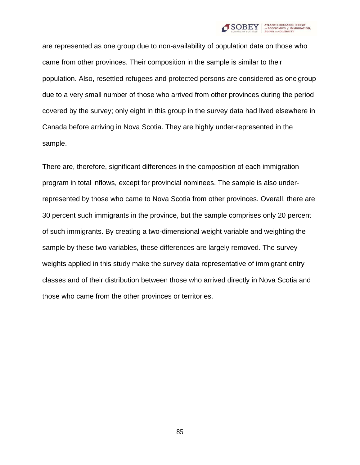

are represented as one group due to non-availability of population data on those who came from other provinces. Their composition in the sample is similar to their population. Also, resettled refugees and protected persons are considered as one group due to a very small number of those who arrived from other provinces during the period covered by the survey; only eight in this group in the survey data had lived elsewhere in Canada before arriving in Nova Scotia. They are highly under-represented in the sample.

There are, therefore, significant differences in the composition of each immigration program in total inflows, except for provincial nominees. The sample is also underrepresented by those who came to Nova Scotia from other provinces. Overall, there are 30 percent such immigrants in the province, but the sample comprises only 20 percent of such immigrants. By creating a two-dimensional weight variable and weighting the sample by these two variables, these differences are largely removed. The survey weights applied in this study make the survey data representative of immigrant entry classes and of their distribution between those who arrived directly in Nova Scotia and those who came from the other provinces or territories.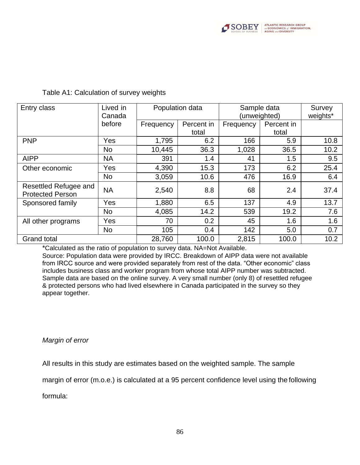

| Lived in<br>Entry class<br>Canada                |           | Population data |            | Sample data<br>(unweighted) |            | Survey<br>weights* |
|--------------------------------------------------|-----------|-----------------|------------|-----------------------------|------------|--------------------|
|                                                  | before    | Frequency       | Percent in | Frequency                   | Percent in |                    |
|                                                  |           |                 | total      |                             | total      |                    |
| <b>PNP</b>                                       | Yes       | 1,795           | 6.2        | 166                         | 5.9        | 10.8               |
|                                                  | <b>No</b> | 10,445          | 36.3       | 1,028                       | 36.5       | 10.2               |
| <b>AIPP</b>                                      | <b>NA</b> | 391             | 1.4        | 41                          | 1.5        | 9.5                |
| Other economic                                   | Yes       | 4,390           | 15.3       | 173                         | 6.2        | 25.4               |
|                                                  | <b>No</b> | 3,059           | 10.6       | 476                         | 16.9       | 6.4                |
| Resettled Refugee and<br><b>Protected Person</b> | <b>NA</b> | 2,540           | 8.8        | 68                          | 2.4        | 37.4               |
| Sponsored family                                 | Yes       | 1,880           | 6.5        | 137                         | 4.9        | 13.7               |
|                                                  | <b>No</b> | 4,085           | 14.2       | 539                         | 19.2       | 7.6                |
| All other programs                               | Yes       | 70              | 0.2        | 45                          | 1.6        | 1.6                |
|                                                  | <b>No</b> | 105             | 0.4        | 142                         | 5.0        | 0.7                |
| <b>Grand total</b>                               |           | 28,760          | 100.0      | 2,815                       | 100.0      | 10.2               |

#### Table A1: Calculation of survey weights

\*Calculated as the ratio of population to survey data. NA=Not Available.

Source: Population data were provided by IRCC. Breakdown of AIPP data were not available from IRCC source and were provided separately from rest of the data. "Other economic" class includes business class and worker program from whose total AIPP number was subtracted. Sample data are based on the online survey. A very small number (only 8) of resettled refugee & protected persons who had lived elsewhere in Canada participated in the survey so they appear together.

#### *Margin of error*

All results in this study are estimates based on the weighted sample. The sample

margin of error (m.o.e.) is calculated at a 95 percent confidence level using the following

formula: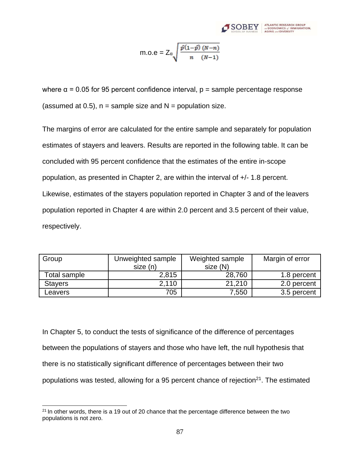

m.o.e = 
$$
Z_{\alpha} \sqrt{\frac{\hat{p}(1-\hat{p}) (N-n)}{n (N-1)}}
$$

where  $\alpha$  = 0.05 for 95 percent confidence interval,  $p =$  sample percentage response (assumed at 0.5),  $n =$  sample size and  $N =$  population size.

The margins of error are calculated for the entire sample and separately for population estimates of stayers and leavers. Results are reported in the following table. It can be concluded with 95 percent confidence that the estimates of the entire in-scope population, as presented in Chapter 2, are within the interval of +/- 1.8 percent. Likewise, estimates of the stayers population reported in Chapter 3 and of the leavers population reported in Chapter 4 are within 2.0 percent and 3.5 percent of their value, respectively.

| Group          | Unweighted sample | Weighted sample | Margin of error |
|----------------|-------------------|-----------------|-----------------|
|                | size (n)          | size (N)        |                 |
| Total sample   | 2,815             | 28,760          | 1.8 percent     |
| <b>Stavers</b> | 2.110             | 21,210          | 2.0 percent     |
| Leavers        | 705               | 7,550           | 3.5 percent     |

In Chapter 5, to conduct the tests of significance of the difference of percentages between the populations of stayers and those who have left, the null hypothesis that there is no statistically significant difference of percentages between their two populations was tested, allowing for a 95 percent chance of rejection<sup>21</sup>. The estimated

 $21$  In other words, there is a 19 out of 20 chance that the percentage difference between the two populations is not zero.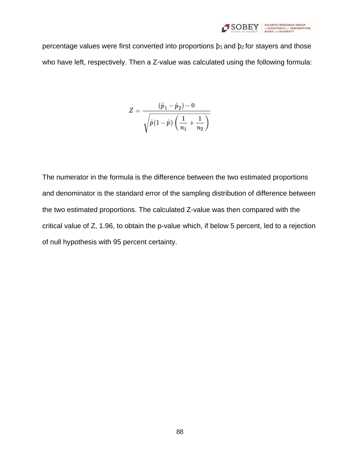

percentage values were first converted into proportions  $\hat{p}_1$  and  $\hat{p}_2$  for stayers and those who have left, respectively. Then a Z-value was calculated using the following formula:

$$
Z=\frac{(\hat{p}_1-\hat{p}_2)-0}{\sqrt{\hat{p}(1-\hat{p})\left(\frac{1}{n_1}+\frac{1}{n_2}\right)}}
$$

The numerator in the formula is the difference between the two estimated proportions and denominator is the standard error of the sampling distribution of difference between the two estimated proportions. The calculated Z-value was then compared with the critical value of Z, 1.96, to obtain the p-value which, if below 5 percent, led to a rejection of null hypothesis with 95 percent certainty.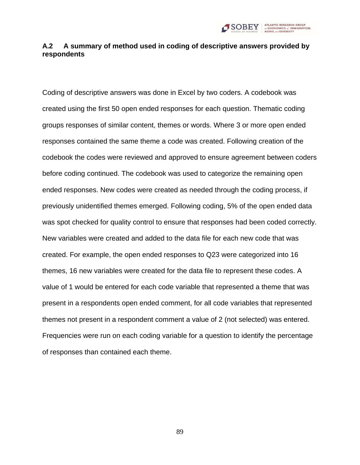

### **A.2 A summary of method used in coding of descriptive answers provided by respondents**

Coding of descriptive answers was done in Excel by two coders. A codebook was created using the first 50 open ended responses for each question. Thematic coding groups responses of similar content, themes or words. Where 3 or more open ended responses contained the same theme a code was created. Following creation of the codebook the codes were reviewed and approved to ensure agreement between coders before coding continued. The codebook was used to categorize the remaining open ended responses. New codes were created as needed through the coding process, if previously unidentified themes emerged. Following coding, 5% of the open ended data was spot checked for quality control to ensure that responses had been coded correctly. New variables were created and added to the data file for each new code that was created. For example, the open ended responses to Q23 were categorized into 16 themes, 16 new variables were created for the data file to represent these codes. A value of 1 would be entered for each code variable that represented a theme that was present in a respondents open ended comment, for all code variables that represented themes not present in a respondent comment a value of 2 (not selected) was entered. Frequencies were run on each coding variable for a question to identify the percentage of responses than contained each theme.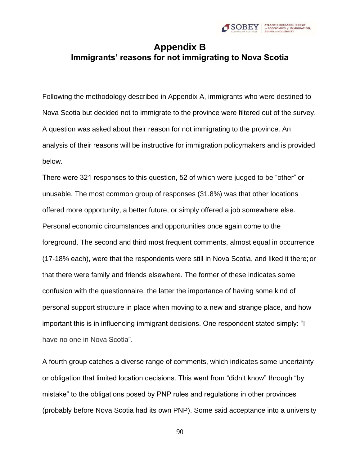

# **Appendix B Immigrants' reasons for not immigrating to Nova Scotia**

Following the methodology described in Appendix A, immigrants who were destined to Nova Scotia but decided not to immigrate to the province were filtered out of the survey. A question was asked about their reason for not immigrating to the province. An analysis of their reasons will be instructive for immigration policymakers and is provided below.

There were 321 responses to this question, 52 of which were judged to be "other" or unusable. The most common group of responses (31.8%) was that other locations offered more opportunity, a better future, or simply offered a job somewhere else. Personal economic circumstances and opportunities once again come to the foreground. The second and third most frequent comments, almost equal in occurrence (17-18% each), were that the respondents were still in Nova Scotia, and liked it there; or that there were family and friends elsewhere. The former of these indicates some confusion with the questionnaire, the latter the importance of having some kind of personal support structure in place when moving to a new and strange place, and how important this is in influencing immigrant decisions. One respondent stated simply: "I have no one in Nova Scotia".

A fourth group catches a diverse range of comments, which indicates some uncertainty or obligation that limited location decisions. This went from "didn't know" through "by mistake" to the obligations posed by PNP rules and regulations in other provinces (probably before Nova Scotia had its own PNP). Some said acceptance into a university

90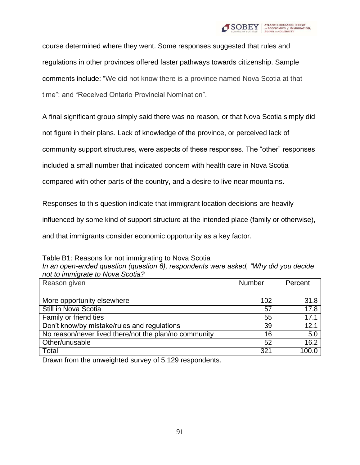

course determined where they went. Some responses suggested that rules and regulations in other provinces offered faster pathways towards citizenship. Sample comments include: "We did not know there is a province named Nova Scotia at that time"; and "Received Ontario Provincial Nomination".

A final significant group simply said there was no reason, or that Nova Scotia simply did

not figure in their plans. Lack of knowledge of the province, or perceived lack of

community support structures, were aspects of these responses. The "other" responses

included a small number that indicated concern with health care in Nova Scotia

compared with other parts of the country, and a desire to live near mountains.

Responses to this question indicate that immigrant location decisions are heavily

influenced by some kind of support structure at the intended place (family or otherwise),

and that immigrants consider economic opportunity as a key factor.

Table B1: Reasons for not immigrating to Nova Scotia

| In an open-ended question (question 6), respondents were asked, "Why did you decide" |  |
|--------------------------------------------------------------------------------------|--|
| not to immigrate to Nova Scotia?                                                     |  |

| Reason given                                          | Number | Percent |
|-------------------------------------------------------|--------|---------|
|                                                       |        |         |
| More opportunity elsewhere                            | 102    | 31.8    |
| Still in Nova Scotia                                  | 57     | 17.8    |
| Family or friend ties                                 | 55     | 17.1    |
| Don't know/by mistake/rules and regulations           | 39     | 12.1    |
| No reason/never lived there/not the plan/no community | 16     | 5.0     |
| Other/unusable                                        | 52     | 16.2    |
| Total                                                 | 321    | 100.0   |

Drawn from the unweighted survey of 5,129 respondents.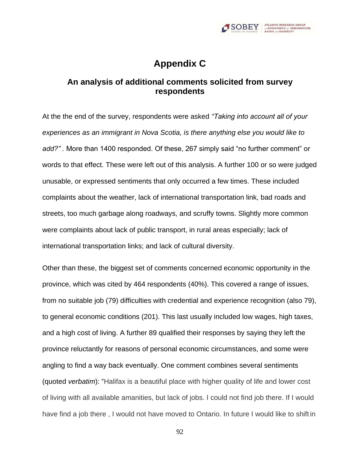

# **Appendix C**

## **An analysis of additional comments solicited from survey respondents**

At the the end of the survey, respondents were asked *"Taking into account all of your experiences as an immigrant in Nova Scotia, is there anything else you would like to add?" .* More than 1400 responded. Of these, 267 simply said "no further comment" or words to that effect. These were left out of this analysis. A further 100 or so were judged unusable, or expressed sentiments that only occurred a few times. These included complaints about the weather, lack of international transportation link, bad roads and streets, too much garbage along roadways, and scruffy towns. Slightly more common were complaints about lack of public transport, in rural areas especially; lack of international transportation links; and lack of cultural diversity.

Other than these, the biggest set of comments concerned economic opportunity in the province, which was cited by 464 respondents (40%). This covered a range of issues, from no suitable job (79) difficulties with credential and experience recognition (also 79), to general economic conditions (201). This last usually included low wages, high taxes, and a high cost of living. A further 89 qualified their responses by saying they left the province reluctantly for reasons of personal economic circumstances, and some were angling to find a way back eventually. One comment combines several sentiments (quoted *verbatim*): "Halifax is a beautiful place with higher quality of life and lower cost of living with all available amanities, but lack of jobs. I could not find job there. If I would have find a job there , I would not have moved to Ontario. In future I would like to shift in

92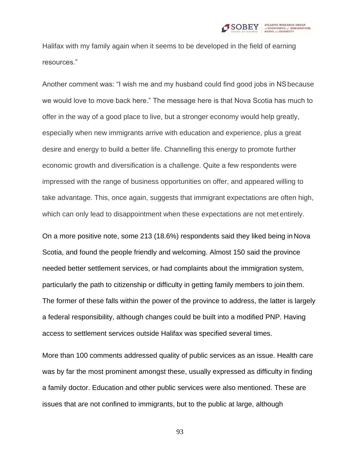

Halifax with my family again when it seems to be developed in the field of earning resources."

Another comment was: "I wish me and my husband could find good jobs in NSbecause we would love to move back here." The message here is that Nova Scotia has much to offer in the way of a good place to live, but a stronger economy would help greatly, especially when new immigrants arrive with education and experience, plus a great desire and energy to build a better life. Channelling this energy to promote further economic growth and diversification is a challenge. Quite a few respondents were impressed with the range of business opportunities on offer, and appeared willing to take advantage. This, once again, suggests that immigrant expectations are often high, which can only lead to disappointment when these expectations are not met entirely.

On a more positive note, some 213 (18.6%) respondents said they liked being in Nova Scotia, and found the people friendly and welcoming. Almost 150 said the province needed better settlement services, or had complaints about the immigration system, particularly the path to citizenship or difficulty in getting family members to join them. The former of these falls within the power of the province to address, the latter is largely a federal responsibility, although changes could be built into a modified PNP. Having access to settlement services outside Halifax was specified several times.

More than 100 comments addressed quality of public services as an issue. Health care was by far the most prominent amongst these, usually expressed as difficulty in finding a family doctor. Education and other public services were also mentioned. These are issues that are not confined to immigrants, but to the public at large, although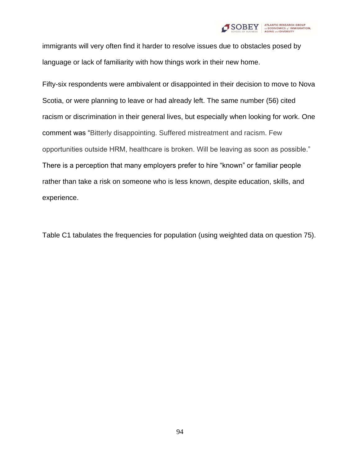

immigrants will very often find it harder to resolve issues due to obstacles posed by language or lack of familiarity with how things work in their new home.

Fifty-six respondents were ambivalent or disappointed in their decision to move to Nova Scotia, or were planning to leave or had already left. The same number (56) cited racism or discrimination in their general lives, but especially when looking for work. One comment was "Bitterly disappointing. Suffered mistreatment and racism. Few opportunities outside HRM, healthcare is broken. Will be leaving as soon as possible." There is a perception that many employers prefer to hire "known" or familiar people rather than take a risk on someone who is less known, despite education, skills, and experience.

Table C1 tabulates the frequencies for population (using weighted data on question 75).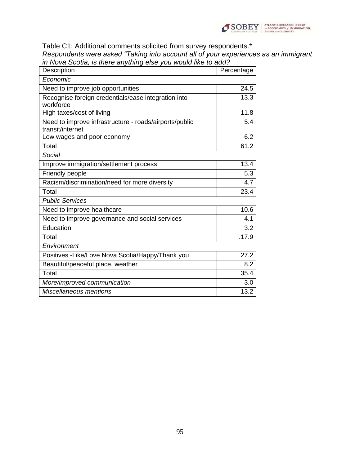

Table C1: Additional comments solicited from survey respondents.\* *Respondents were asked "Taking into account all of your experiences as an immigrant in Nova Scotia, is there anything else you would like to add?*

| Description                                            | Percentage |
|--------------------------------------------------------|------------|
| Economic                                               |            |
| Need to improve job opportunities                      | 24.5       |
| Recognise foreign credentials/ease integration into    | 13.3       |
| workforce                                              |            |
| High taxes/cost of living                              | 11.8       |
| Need to improve infrastructure - roads/airports/public | 5.4        |
| transit/internet                                       |            |
| Low wages and poor economy                             | 6.2        |
| Total                                                  | 61.2       |
| Social                                                 |            |
| Improve immigration/settlement process                 | 13.4       |
| Friendly people                                        | 5.3        |
| Racism/discrimination/need for more diversity          | 4.7        |
| Total                                                  | 23.4       |
| <b>Public Services</b>                                 |            |
| Need to improve healthcare                             | 10.6       |
| Need to improve governance and social services         | 4.1        |
| Education                                              | 3.2        |
| Total                                                  | .17.9      |
| Environment                                            |            |
| Positives - Like/Love Nova Scotia/Happy/Thank you      | 27.2       |
| Beautiful/peaceful place, weather                      | 8.2        |
| Total                                                  | 35.4       |
| More/improved communication                            | 3.0        |
| Miscellaneous mentions                                 | 13.2       |